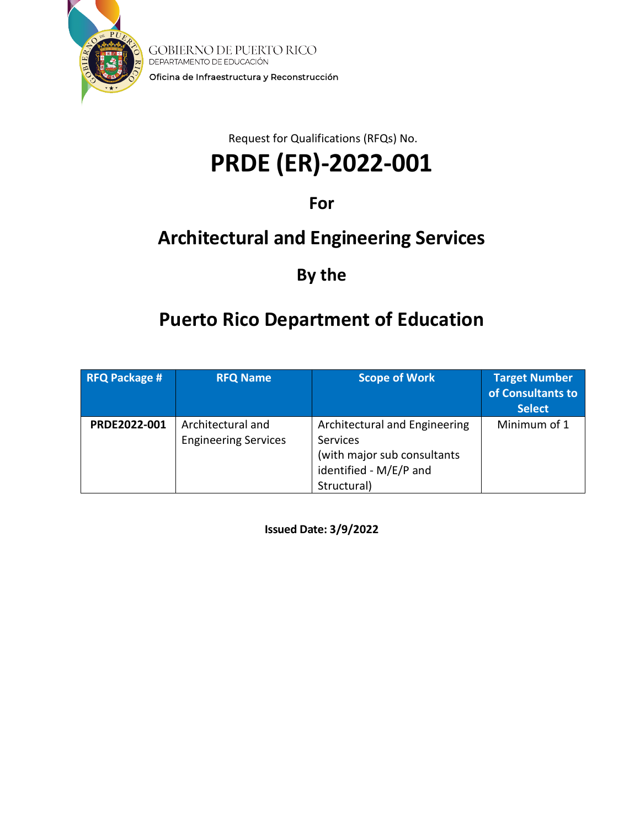

**GOBIERNO DE PUERTO RICO** DEPARTAMENTO DE EDUCACIÓN Oficina de Infraestructura y Reconstrucción

Request for Qualifications (RFQs) No.

# **PRDE (ER)-2022-001**

# **For**

# **Architectural and Engineering Services**

# **By the**

# **Puerto Rico Department of Education**

| <b>RFQ Package #</b> | <b>RFQ Name</b>                                  | <b>Scope of Work</b>                                                                                              | <b>Target Number</b><br>of Consultants to<br><b>Select</b> |
|----------------------|--------------------------------------------------|-------------------------------------------------------------------------------------------------------------------|------------------------------------------------------------|
| PRDE2022-001         | Architectural and<br><b>Engineering Services</b> | Architectural and Engineering<br>Services<br>(with major sub consultants<br>identified - M/E/P and<br>Structural) | Minimum of 1                                               |

**Issued Date: 3/9/2022**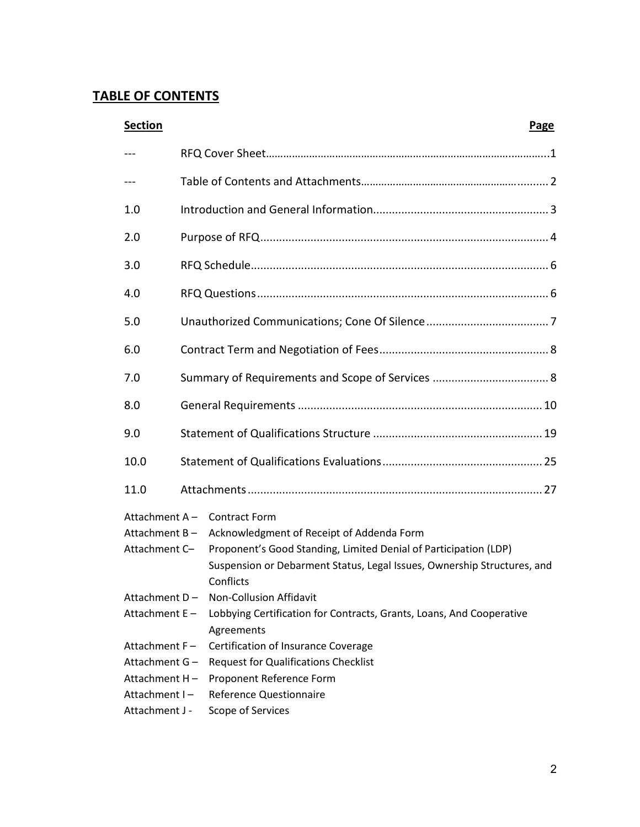# **TABLE OF CONTENTS**

| <b>Section</b>   | <b>Page</b>                                                                        |
|------------------|------------------------------------------------------------------------------------|
|                  |                                                                                    |
| $--$             |                                                                                    |
| 1.0              |                                                                                    |
| 2.0              |                                                                                    |
| 3.0              |                                                                                    |
| 4.0              |                                                                                    |
| 5.0              |                                                                                    |
| 6.0              |                                                                                    |
| 7.0              |                                                                                    |
| 8.0              |                                                                                    |
| 9.0              |                                                                                    |
| 10.0             |                                                                                    |
| 11.0             |                                                                                    |
|                  | Attachment A - Contract Form                                                       |
| Attachment $B -$ | Acknowledgment of Receipt of Addenda Form                                          |
| Attachment C-    | Proponent's Good Standing, Limited Denial of Participation (LDP)                   |
|                  | Suspension or Debarment Status, Legal Issues, Ownership Structures, and            |
|                  | Conflicts                                                                          |
|                  | Attachment D - Non-Collusion Affidavit                                             |
| Attachment E-    | Lobbying Certification for Contracts, Grants, Loans, And Cooperative<br>Agreements |
| Attachment F-    | Certification of Insurance Coverage                                                |
|                  | Attachment G - Request for Qualifications Checklist                                |
| Attachment H-    | Proponent Reference Form                                                           |
| Attachment I-    | <b>Reference Questionnaire</b>                                                     |
| Attachment J -   | Scope of Services                                                                  |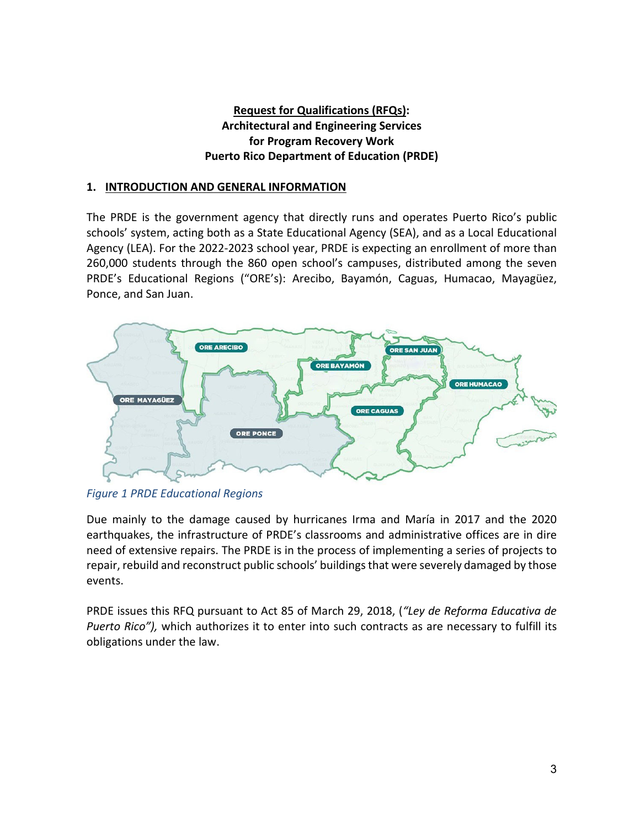# **Request for Qualifications (RFQs): Architectural and Engineering Services for Program Recovery Work Puerto Rico Department of Education (PRDE)**

#### **1. INTRODUCTION AND GENERAL INFORMATION**

The PRDE is the government agency that directly runs and operates Puerto Rico's public schools' system, acting both as a State Educational Agency (SEA), and as a Local Educational Agency (LEA). For the 2022-2023 school year, PRDE is expecting an enrollment of more than 260,000 students through the 860 open school's campuses, distributed among the seven PRDE's Educational Regions ("ORE's): Arecibo, Bayamón, Caguas, Humacao, Mayagüez, Ponce, and San Juan.



*Figure 1 PRDE Educational Regions*

Due mainly to the damage caused by hurricanes Irma and María in 2017 and the 2020 earthquakes, the infrastructure of PRDE's classrooms and administrative offices are in dire need of extensive repairs. The PRDE is in the process of implementing a series of projects to repair, rebuild and reconstruct public schools' buildings that were severely damaged by those events.

PRDE issues this RFQ pursuant to Act 85 of March 29, 2018, (*"Ley de Reforma Educativa de Puerto Rico"),* which authorizes it to enter into such contracts as are necessary to fulfill its obligations under the law.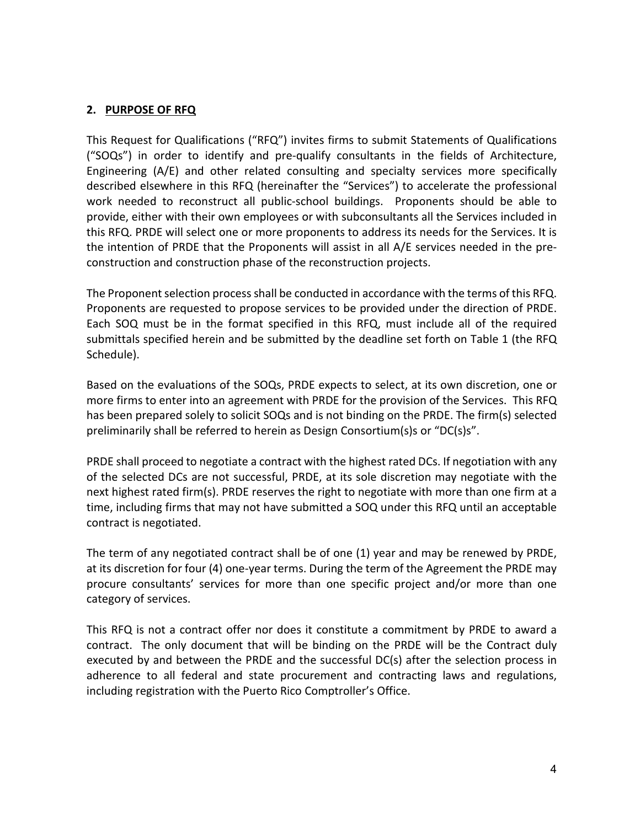### **2. PURPOSE OF RFQ**

This Request for Qualifications ("RFQ") invites firms to submit Statements of Qualifications ("SOQs") in order to identify and pre-qualify consultants in the fields of Architecture, Engineering (A/E) and other related consulting and specialty services more specifically described elsewhere in this RFQ (hereinafter the "Services") to accelerate the professional work needed to reconstruct all public-school buildings. Proponents should be able to provide, either with their own employees or with subconsultants all the Services included in this RFQ. PRDE will select one or more proponents to address its needs for the Services. It is the intention of PRDE that the Proponents will assist in all A/E services needed in the preconstruction and construction phase of the reconstruction projects.

The Proponent selection process shall be conducted in accordance with the terms of this RFQ. Proponents are requested to propose services to be provided under the direction of PRDE. Each SOQ must be in the format specified in this RFQ, must include all of the required submittals specified herein and be submitted by the deadline set forth on Table 1 (the RFQ Schedule).

Based on the evaluations of the SOQs, PRDE expects to select, at its own discretion, one or more firms to enter into an agreement with PRDE for the provision of the Services. This RFQ has been prepared solely to solicit SOQs and is not binding on the PRDE. The firm(s) selected preliminarily shall be referred to herein as Design Consortium(s)s or "DC(s)s".

PRDE shall proceed to negotiate a contract with the highest rated DCs. If negotiation with any of the selected DCs are not successful, PRDE, at its sole discretion may negotiate with the next highest rated firm(s). PRDE reserves the right to negotiate with more than one firm at a time, including firms that may not have submitted a SOQ under this RFQ until an acceptable contract is negotiated.

The term of any negotiated contract shall be of one (1) year and may be renewed by PRDE, at its discretion for four (4) one-year terms. During the term of the Agreement the PRDE may procure consultants' services for more than one specific project and/or more than one category of services.

This RFQ is not a contract offer nor does it constitute a commitment by PRDE to award a contract. The only document that will be binding on the PRDE will be the Contract duly executed by and between the PRDE and the successful DC(s) after the selection process in adherence to all federal and state procurement and contracting laws and regulations, including registration with the Puerto Rico Comptroller's Office.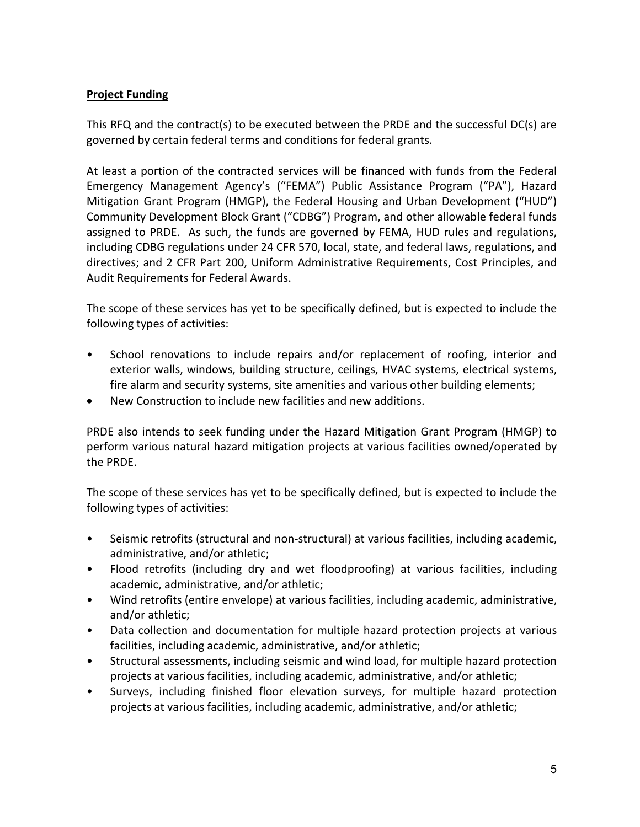# **Project Funding**

This RFQ and the contract(s) to be executed between the PRDE and the successful DC(s) are governed by certain federal terms and conditions for federal grants.

At least a portion of the contracted services will be financed with funds from the Federal Emergency Management Agency's ("FEMA") Public Assistance Program ("PA"), Hazard Mitigation Grant Program (HMGP), the Federal Housing and Urban Development ("HUD") Community Development Block Grant ("CDBG") Program, and other allowable federal funds assigned to PRDE. As such, the funds are governed by FEMA, HUD rules and regulations, including CDBG regulations under 24 CFR 570, local, state, and federal laws, regulations, and directives; and 2 CFR Part 200, Uniform Administrative Requirements, Cost Principles, and Audit Requirements for Federal Awards.

The scope of these services has yet to be specifically defined, but is expected to include the following types of activities:

- School renovations to include repairs and/or replacement of roofing, interior and exterior walls, windows, building structure, ceilings, HVAC systems, electrical systems, fire alarm and security systems, site amenities and various other building elements;
- New Construction to include new facilities and new additions.

PRDE also intends to seek funding under the Hazard Mitigation Grant Program (HMGP) to perform various natural hazard mitigation projects at various facilities owned/operated by the PRDE.

The scope of these services has yet to be specifically defined, but is expected to include the following types of activities:

- Seismic retrofits (structural and non-structural) at various facilities, including academic, administrative, and/or athletic;
- Flood retrofits (including dry and wet floodproofing) at various facilities, including academic, administrative, and/or athletic;
- Wind retrofits (entire envelope) at various facilities, including academic, administrative, and/or athletic;
- Data collection and documentation for multiple hazard protection projects at various facilities, including academic, administrative, and/or athletic;
- Structural assessments, including seismic and wind load, for multiple hazard protection projects at various facilities, including academic, administrative, and/or athletic;
- Surveys, including finished floor elevation surveys, for multiple hazard protection projects at various facilities, including academic, administrative, and/or athletic;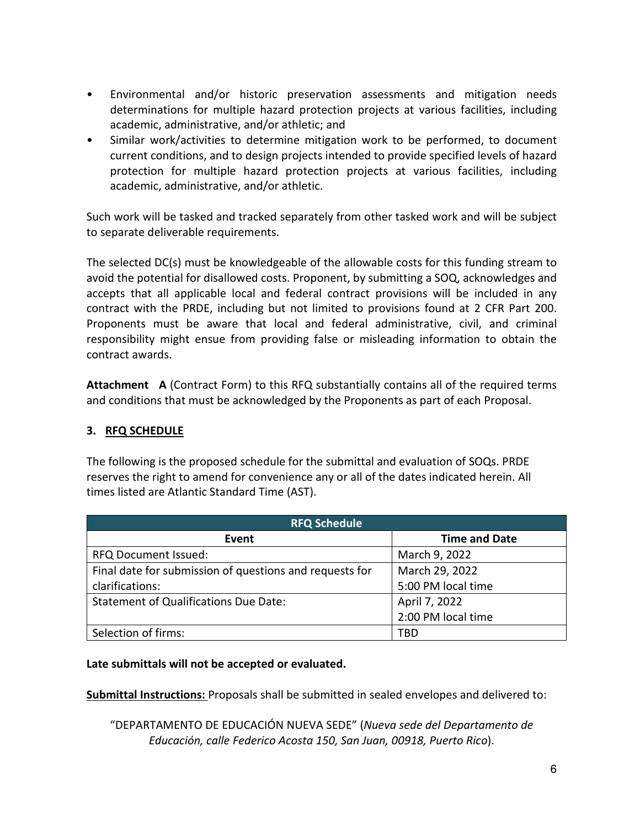- Environmental and/or historic preservation assessments and mitigation needs determinations for multiple hazard protection projects at various facilities, including academic, administrative, and/or athletic; and
- Similar work/activities to determine mitigation work to be performed, to document current conditions, and to design projects intended to provide specified levels of hazard protection for multiple hazard protection projects at various facilities, including academic, administrative, and/or athletic.

Such work will be tasked and tracked separately from other tasked work and will be subject to separate deliverable requirements.

The selected DC(s) must be knowledgeable of the allowable costs for this funding stream to avoid the potential for disallowed costs. Proponent, by submitting a SOQ, acknowledges and accepts that all applicable local and federal contract provisions will be included in any contract with the PRDE, including but not limited to provisions found at 2 CFR Part 200. Proponents must be aware that local and federal administrative, civil, and criminal responsibility might ensue from providing false or misleading information to obtain the contract awards.

**Attachment A** (Contract Form) to this RFQ substantially contains all of the required terms and conditions that must be acknowledged by the Proponents as part of each Proposal.

# **3. RFQ SCHEDULE**

The following is the proposed schedule for the submittal and evaluation of SOQs. PRDE reserves the right to amend for convenience any or all of the dates indicated herein. All times listed are Atlantic Standard Time (AST).

| <b>RFQ Schedule</b>                                     |                      |
|---------------------------------------------------------|----------------------|
| Event                                                   | <b>Time and Date</b> |
| <b>RFQ Document Issued:</b>                             | March 9, 2022        |
| Final date for submission of questions and requests for | March 29, 2022       |
| clarifications:                                         | 5:00 PM local time   |
| <b>Statement of Qualifications Due Date:</b>            | April 7, 2022        |
|                                                         | 2:00 PM local time   |
| Selection of firms:                                     | TBD                  |

#### **Late submittals will not be accepted or evaluated.**

**Submittal Instructions:** Proposals shall be submitted in sealed envelopes and delivered to:

"DEPARTAMENTO DE EDUCACIÓN NUEVA SEDE" (*Nueva sede del Departamento de Educación, calle Federico Acosta 150, San Juan, 00918, Puerto Rico*).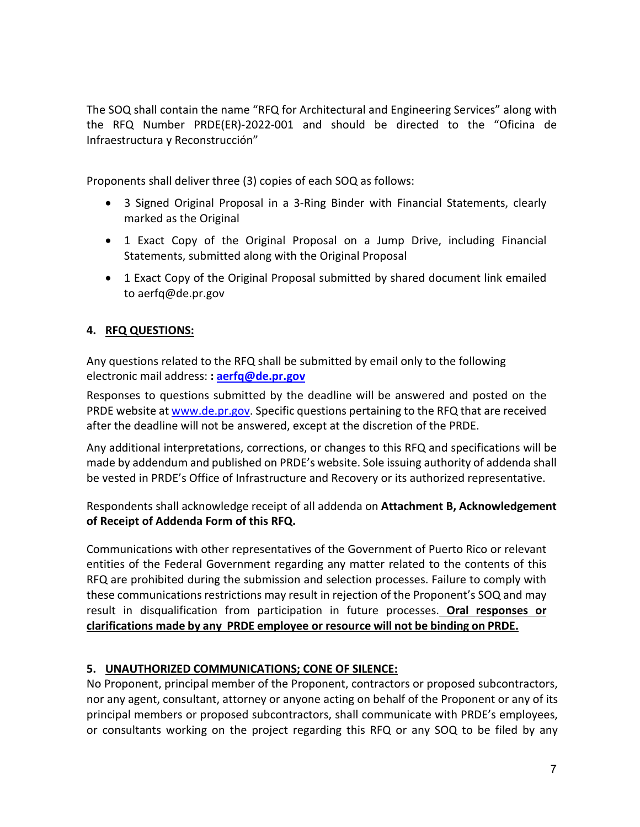The SOQ shall contain the name "RFQ for Architectural and Engineering Services" along with the RFQ Number PRDE(ER)-2022-001 and should be directed to the "Oficina de Infraestructura y Reconstrucción"

Proponents shall deliver three (3) copies of each SOQ as follows:

- 3 Signed Original Proposal in a 3-Ring Binder with Financial Statements, clearly marked as the Original
- 1 Exact Copy of the Original Proposal on a Jump Drive, including Financial Statements, submitted along with the Original Proposal
- 1 Exact Copy of the Original Proposal submitted by shared document link emailed to aerfq@de.pr.gov

# **4. RFQ QUESTIONS:**

Any questions related to the RFQ shall be submitted by email only to the following electronic mail address: **: [aerfq@de.pr.gov](mailto:aerfq@de.pr.gov)**

Responses to questions submitted by the deadline will be answered and posted on the PRDE website at [www.de.pr.gov.](http://www.de.pr.gov/) Specific questions pertaining to the RFQ that are received after the deadline will not be answered, except at the discretion of the PRDE.

Any additional interpretations, corrections, or changes to this RFQ and specifications will be made by addendum and published on PRDE's website. Sole issuing authority of addenda shall be vested in PRDE's Office of Infrastructure and Recovery or its authorized representative.

Respondents shall acknowledge receipt of all addenda on **Attachment B, Acknowledgement of Receipt of Addenda Form of this RFQ.**

Communications with other representatives of the Government of Puerto Rico or relevant entities of the Federal Government regarding any matter related to the contents of this RFQ are prohibited during the submission and selection processes. Failure to comply with these communications restrictions may result in rejection of the Proponent's SOQ and may result in disqualification from participation in future processes. **Oral responses or clarifications made by any PRDE employee or resource will not be binding on PRDE.**

# **5. UNAUTHORIZED COMMUNICATIONS; CONE OF SILENCE:**

No Proponent, principal member of the Proponent, contractors or proposed subcontractors, nor any agent, consultant, attorney or anyone acting on behalf of the Proponent or any of its principal members or proposed subcontractors, shall communicate with PRDE's employees, or consultants working on the project regarding this RFQ or any SOQ to be filed by any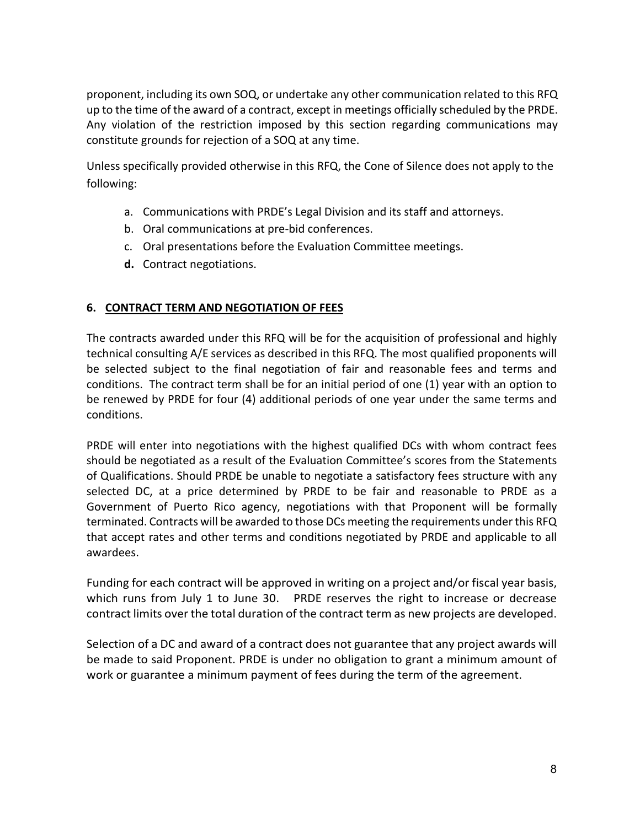proponent, including its own SOQ, or undertake any other communication related to this RFQ up to the time of the award of a contract, except in meetings officially scheduled by the PRDE. Any violation of the restriction imposed by this section regarding communications may constitute grounds for rejection of a SOQ at any time.

Unless specifically provided otherwise in this RFQ, the Cone of Silence does not apply to the following:

- a. Communications with PRDE's Legal Division and its staff and attorneys.
- b. Oral communications at pre-bid conferences.
- c. Oral presentations before the Evaluation Committee meetings.
- **d.** Contract negotiations.

# **6. CONTRACT TERM AND NEGOTIATION OF FEES**

The contracts awarded under this RFQ will be for the acquisition of professional and highly technical consulting A/E services as described in this RFQ. The most qualified proponents will be selected subject to the final negotiation of fair and reasonable fees and terms and conditions. The contract term shall be for an initial period of one (1) year with an option to be renewed by PRDE for four (4) additional periods of one year under the same terms and conditions.

PRDE will enter into negotiations with the highest qualified DCs with whom contract fees should be negotiated as a result of the Evaluation Committee's scores from the Statements of Qualifications. Should PRDE be unable to negotiate a satisfactory fees structure with any selected DC, at a price determined by PRDE to be fair and reasonable to PRDE as a Government of Puerto Rico agency, negotiations with that Proponent will be formally terminated. Contracts will be awarded to those DCs meeting the requirements under this RFQ that accept rates and other terms and conditions negotiated by PRDE and applicable to all awardees.

Funding for each contract will be approved in writing on a project and/or fiscal year basis, which runs from July 1 to June 30. PRDE reserves the right to increase or decrease contract limits over the total duration of the contract term as new projects are developed.

Selection of a DC and award of a contract does not guarantee that any project awards will be made to said Proponent. PRDE is under no obligation to grant a minimum amount of work or guarantee a minimum payment of fees during the term of the agreement.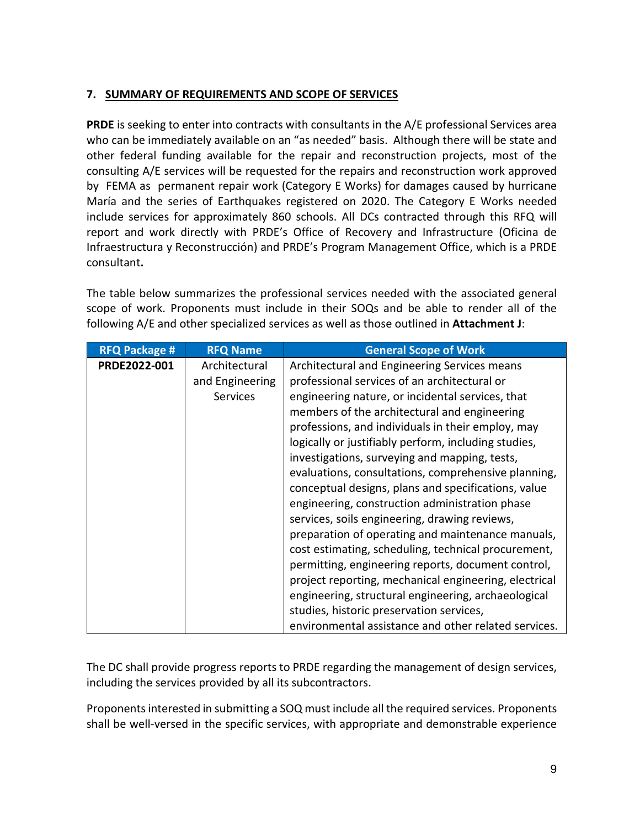# **7. SUMMARY OF REQUIREMENTS AND SCOPE OF SERVICES**

**PRDE** is seeking to enter into contracts with consultants in the A/E professional Services area who can be immediately available on an "as needed" basis. Although there will be state and other federal funding available for the repair and reconstruction projects, most of the consulting A/E services will be requested for the repairs and reconstruction work approved by FEMA as permanent repair work (Category E Works) for damages caused by hurricane María and the series of Earthquakes registered on 2020. The Category E Works needed include services for approximately 860 schools. All DCs contracted through this RFQ will report and work directly with PRDE's Office of Recovery and Infrastructure (Oficina de Infraestructura y Reconstrucción) and PRDE's Program Management Office, which is a PRDE consultant**.**

The table below summarizes the professional services needed with the associated general scope of work. Proponents must include in their SOQs and be able to render all of the following A/E and other specialized services as well as those outlined in **Attachment J**:

| <b>RFQ Package #</b> | <b>RFQ Name</b>                                     | <b>General Scope of Work</b>                                                                                                                                                                                                                                                                                                                                                                                                                                                                                                                                                                                                                                                                                                                                                                                                                                                                                  |
|----------------------|-----------------------------------------------------|---------------------------------------------------------------------------------------------------------------------------------------------------------------------------------------------------------------------------------------------------------------------------------------------------------------------------------------------------------------------------------------------------------------------------------------------------------------------------------------------------------------------------------------------------------------------------------------------------------------------------------------------------------------------------------------------------------------------------------------------------------------------------------------------------------------------------------------------------------------------------------------------------------------|
| PRDE2022-001         | Architectural<br>and Engineering<br><b>Services</b> | Architectural and Engineering Services means<br>professional services of an architectural or<br>engineering nature, or incidental services, that<br>members of the architectural and engineering<br>professions, and individuals in their employ, may<br>logically or justifiably perform, including studies,<br>investigations, surveying and mapping, tests,<br>evaluations, consultations, comprehensive planning,<br>conceptual designs, plans and specifications, value<br>engineering, construction administration phase<br>services, soils engineering, drawing reviews,<br>preparation of operating and maintenance manuals,<br>cost estimating, scheduling, technical procurement,<br>permitting, engineering reports, document control,<br>project reporting, mechanical engineering, electrical<br>engineering, structural engineering, archaeological<br>studies, historic preservation services, |
|                      |                                                     | environmental assistance and other related services.                                                                                                                                                                                                                                                                                                                                                                                                                                                                                                                                                                                                                                                                                                                                                                                                                                                          |

The DC shall provide progress reports to PRDE regarding the management of design services, including the services provided by all its subcontractors.

Proponents interested in submitting a SOQ must include all the required services. Proponents shall be well-versed in the specific services, with appropriate and demonstrable experience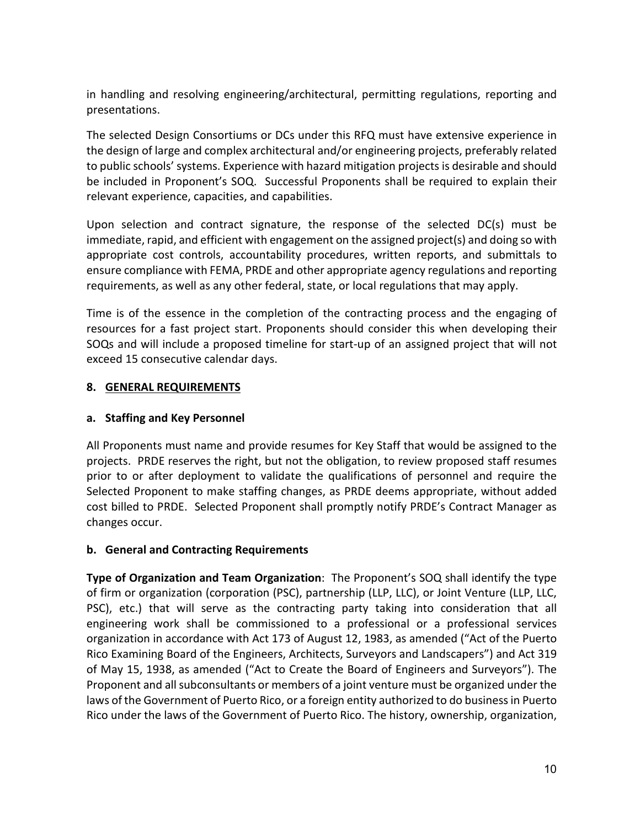in handling and resolving engineering/architectural, permitting regulations, reporting and presentations.

The selected Design Consortiums or DCs under this RFQ must have extensive experience in the design of large and complex architectural and/or engineering projects, preferably related to public schools' systems. Experience with hazard mitigation projects is desirable and should be included in Proponent's SOQ. Successful Proponents shall be required to explain their relevant experience, capacities, and capabilities.

Upon selection and contract signature, the response of the selected DC(s) must be immediate, rapid, and efficient with engagement on the assigned project(s) and doing so with appropriate cost controls, accountability procedures, written reports, and submittals to ensure compliance with FEMA, PRDE and other appropriate agency regulations and reporting requirements, as well as any other federal, state, or local regulations that may apply.

Time is of the essence in the completion of the contracting process and the engaging of resources for a fast project start. Proponents should consider this when developing their SOQs and will include a proposed timeline for start-up of an assigned project that will not exceed 15 consecutive calendar days.

# **8. GENERAL REQUIREMENTS**

# **a. Staffing and Key Personnel**

All Proponents must name and provide resumes for Key Staff that would be assigned to the projects. PRDE reserves the right, but not the obligation, to review proposed staff resumes prior to or after deployment to validate the qualifications of personnel and require the Selected Proponent to make staffing changes, as PRDE deems appropriate, without added cost billed to PRDE. Selected Proponent shall promptly notify PRDE's Contract Manager as changes occur.

# **b. General and Contracting Requirements**

**Type of Organization and Team Organization**: The Proponent's SOQ shall identify the type of firm or organization (corporation (PSC), partnership (LLP, LLC), or Joint Venture (LLP, LLC, PSC), etc.) that will serve as the contracting party taking into consideration that all engineering work shall be commissioned to a professional or a professional services organization in accordance with Act 173 of August 12, 1983, as amended ("Act of the Puerto Rico Examining Board of the Engineers, Architects, Surveyors and Landscapers") and Act 319 of May 15, 1938, as amended ("Act to Create the Board of Engineers and Surveyors"). The Proponent and all subconsultants or members of a joint venture must be organized under the laws of the Government of Puerto Rico, or a foreign entity authorized to do business in Puerto Rico under the laws of the Government of Puerto Rico. The history, ownership, organization,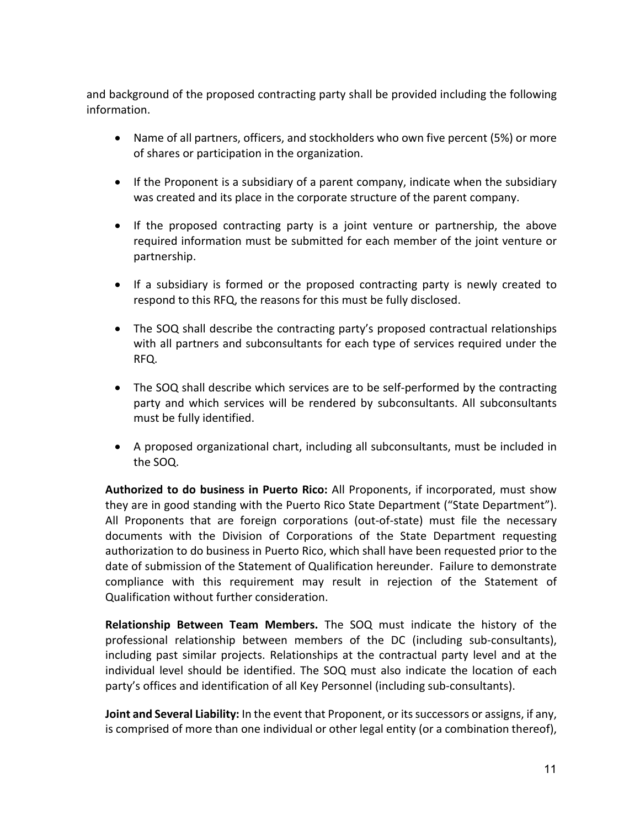and background of the proposed contracting party shall be provided including the following information.

- Name of all partners, officers, and stockholders who own five percent (5%) or more of shares or participation in the organization.
- If the Proponent is a subsidiary of a parent company, indicate when the subsidiary was created and its place in the corporate structure of the parent company.
- If the proposed contracting party is a joint venture or partnership, the above required information must be submitted for each member of the joint venture or partnership.
- If a subsidiary is formed or the proposed contracting party is newly created to respond to this RFQ, the reasons for this must be fully disclosed.
- The SOQ shall describe the contracting party's proposed contractual relationships with all partners and subconsultants for each type of services required under the RFQ.
- The SOQ shall describe which services are to be self-performed by the contracting party and which services will be rendered by subconsultants. All subconsultants must be fully identified.
- A proposed organizational chart, including all subconsultants, must be included in the SOQ.

**Authorized to do business in Puerto Rico:** All Proponents, if incorporated, must show they are in good standing with the Puerto Rico State Department ("State Department"). All Proponents that are foreign corporations (out-of-state) must file the necessary documents with the Division of Corporations of the State Department requesting authorization to do business in Puerto Rico, which shall have been requested prior to the date of submission of the Statement of Qualification hereunder. Failure to demonstrate compliance with this requirement may result in rejection of the Statement of Qualification without further consideration.

**Relationship Between Team Members.** The SOQ must indicate the history of the professional relationship between members of the DC (including sub-consultants), including past similar projects. Relationships at the contractual party level and at the individual level should be identified. The SOQ must also indicate the location of each party's offices and identification of all Key Personnel (including sub-consultants).

**Joint and Several Liability:** In the event that Proponent, or its successors or assigns, if any, is comprised of more than one individual or other legal entity (or a combination thereof),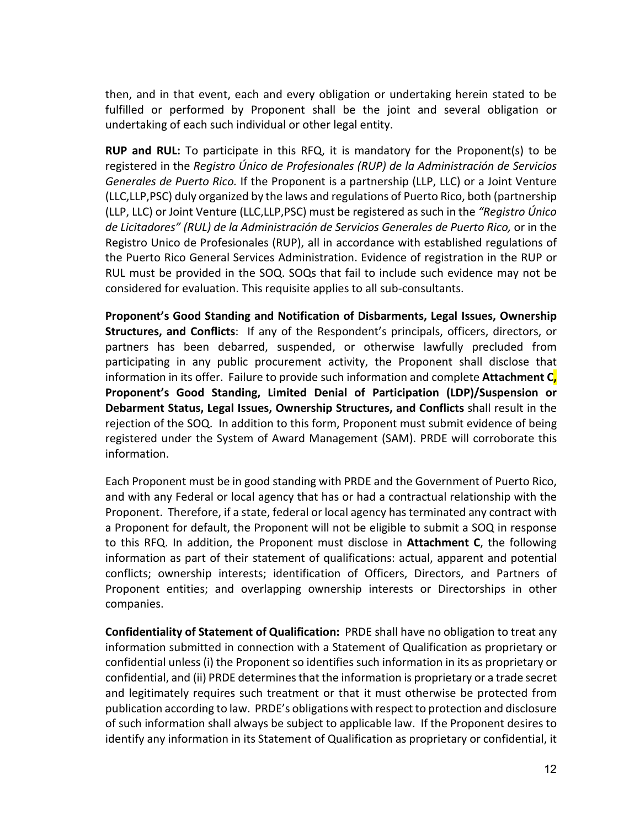then, and in that event, each and every obligation or undertaking herein stated to be fulfilled or performed by Proponent shall be the joint and several obligation or undertaking of each such individual or other legal entity.

**RUP and RUL:** To participate in this RFQ, it is mandatory for the Proponent(s) to be registered in the *Registro Único de Profesionales (RUP) de la Administración de Servicios Generales de Puerto Rico.* If the Proponent is a partnership (LLP, LLC) or a Joint Venture (LLC,LLP,PSC) duly organized by the laws and regulations of Puerto Rico, both (partnership (LLP, LLC) or Joint Venture (LLC,LLP,PSC) must be registered as such in the *"Registro Único de Licitadores" (RUL) de la Administración de Servicios Generales de Puerto Rico,* or in the Registro Unico de Profesionales (RUP), all in accordance with established regulations of the Puerto Rico General Services Administration. Evidence of registration in the RUP or RUL must be provided in the SOQ. SOQs that fail to include such evidence may not be considered for evaluation. This requisite applies to all sub-consultants.

**Proponent's Good Standing and Notification of Disbarments, Legal Issues, Ownership Structures, and Conflicts**: If any of the Respondent's principals, officers, directors, or partners has been debarred, suspended, or otherwise lawfully precluded from participating in any public procurement activity, the Proponent shall disclose that information in its offer. Failure to provide such information and complete **Attachment C, Proponent's Good Standing, Limited Denial of Participation (LDP)/Suspension or Debarment Status, Legal Issues, Ownership Structures, and Conflicts** shall result in the rejection of the SOQ. In addition to this form, Proponent must submit evidence of being registered under the System of Award Management (SAM). PRDE will corroborate this information.

Each Proponent must be in good standing with PRDE and the Government of Puerto Rico, and with any Federal or local agency that has or had a contractual relationship with the Proponent. Therefore, if a state, federal or local agency has terminated any contract with a Proponent for default, the Proponent will not be eligible to submit a SOQ in response to this RFQ. In addition, the Proponent must disclose in **Attachment C**, the following information as part of their statement of qualifications: actual, apparent and potential conflicts; ownership interests; identification of Officers, Directors, and Partners of Proponent entities; and overlapping ownership interests or Directorships in other companies.

**Confidentiality of Statement of Qualification:** PRDE shall have no obligation to treat any information submitted in connection with a Statement of Qualification as proprietary or confidential unless (i) the Proponent so identifies such information in its as proprietary or confidential, and (ii) PRDE determines that the information is proprietary or a trade secret and legitimately requires such treatment or that it must otherwise be protected from publication according to law. PRDE's obligations with respect to protection and disclosure of such information shall always be subject to applicable law. If the Proponent desires to identify any information in its Statement of Qualification as proprietary or confidential, it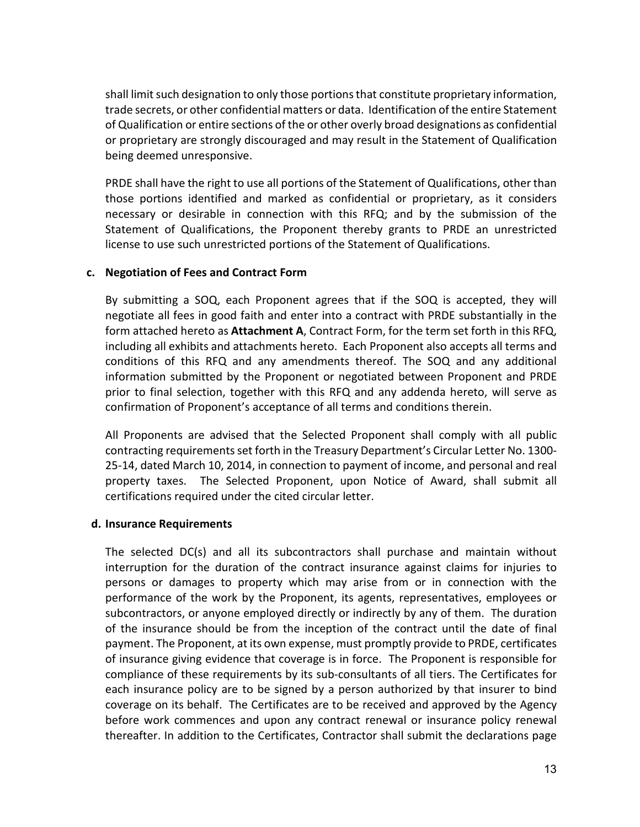shall limit such designation to only those portions that constitute proprietary information, trade secrets, or other confidential matters or data. Identification of the entire Statement of Qualification or entire sections of the or other overly broad designations as confidential or proprietary are strongly discouraged and may result in the Statement of Qualification being deemed unresponsive.

PRDE shall have the right to use all portions of the Statement of Qualifications, other than those portions identified and marked as confidential or proprietary, as it considers necessary or desirable in connection with this RFQ; and by the submission of the Statement of Qualifications, the Proponent thereby grants to PRDE an unrestricted license to use such unrestricted portions of the Statement of Qualifications.

#### **c. Negotiation of Fees and Contract Form**

By submitting a SOQ, each Proponent agrees that if the SOQ is accepted, they will negotiate all fees in good faith and enter into a contract with PRDE substantially in the form attached hereto as **Attachment A**, Contract Form, for the term set forth in this RFQ, including all exhibits and attachments hereto. Each Proponent also accepts all terms and conditions of this RFQ and any amendments thereof. The SOQ and any additional information submitted by the Proponent or negotiated between Proponent and PRDE prior to final selection, together with this RFQ and any addenda hereto, will serve as confirmation of Proponent's acceptance of all terms and conditions therein.

All Proponents are advised that the Selected Proponent shall comply with all public contracting requirements set forth in the Treasury Department's Circular Letter No. 1300- 25-14, dated March 10, 2014, in connection to payment of income, and personal and real property taxes. The Selected Proponent, upon Notice of Award, shall submit all certifications required under the cited circular letter.

#### **d. Insurance Requirements**

The selected DC(s) and all its subcontractors shall purchase and maintain without interruption for the duration of the contract insurance against claims for injuries to persons or damages to property which may arise from or in connection with the performance of the work by the Proponent, its agents, representatives, employees or subcontractors, or anyone employed directly or indirectly by any of them. The duration of the insurance should be from the inception of the contract until the date of final payment. The Proponent, at its own expense, must promptly provide to PRDE, certificates of insurance giving evidence that coverage is in force. The Proponent is responsible for compliance of these requirements by its sub-consultants of all tiers. The Certificates for each insurance policy are to be signed by a person authorized by that insurer to bind coverage on its behalf. The Certificates are to be received and approved by the Agency before work commences and upon any contract renewal or insurance policy renewal thereafter. In addition to the Certificates, Contractor shall submit the declarations page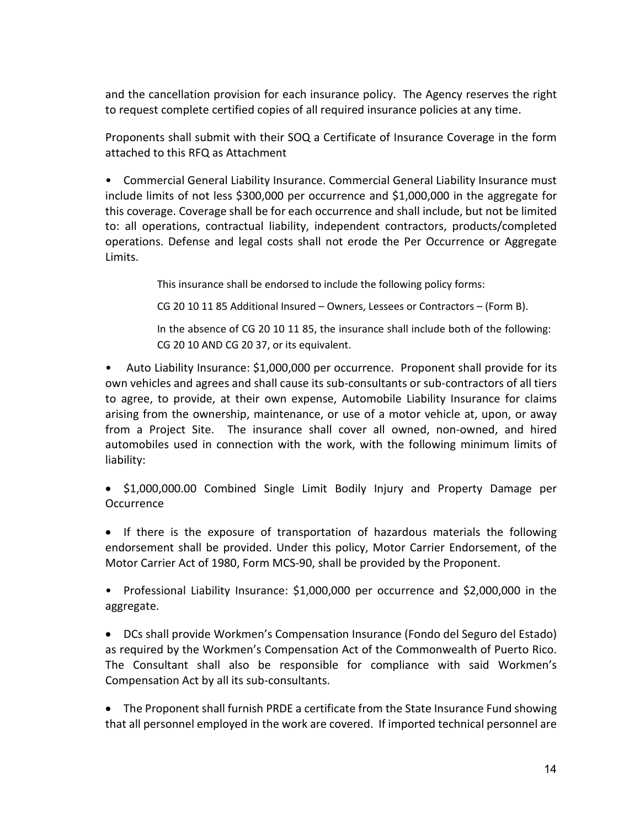and the cancellation provision for each insurance policy. The Agency reserves the right to request complete certified copies of all required insurance policies at any time.

Proponents shall submit with their SOQ a Certificate of Insurance Coverage in the form attached to this RFQ as Attachment

• Commercial General Liability Insurance. Commercial General Liability Insurance must include limits of not less \$300,000 per occurrence and \$1,000,000 in the aggregate for this coverage. Coverage shall be for each occurrence and shall include, but not be limited to: all operations, contractual liability, independent contractors, products/completed operations. Defense and legal costs shall not erode the Per Occurrence or Aggregate Limits.

This insurance shall be endorsed to include the following policy forms:

CG 20 10 11 85 Additional Insured – Owners, Lessees or Contractors – (Form B).

In the absence of CG 20 10 11 85, the insurance shall include both of the following: CG 20 10 AND CG 20 37, or its equivalent.

• Auto Liability Insurance: \$1,000,000 per occurrence. Proponent shall provide for its own vehicles and agrees and shall cause its sub-consultants or sub-contractors of all tiers to agree, to provide, at their own expense, Automobile Liability Insurance for claims arising from the ownership, maintenance, or use of a motor vehicle at, upon, or away from a Project Site. The insurance shall cover all owned, non-owned, and hired automobiles used in connection with the work, with the following minimum limits of liability:

• \$1,000,000.00 Combined Single Limit Bodily Injury and Property Damage per **Occurrence** 

• If there is the exposure of transportation of hazardous materials the following endorsement shall be provided. Under this policy, Motor Carrier Endorsement, of the Motor Carrier Act of 1980, Form MCS-90, shall be provided by the Proponent.

• Professional Liability Insurance: \$1,000,000 per occurrence and \$2,000,000 in the aggregate.

• DCs shall provide Workmen's Compensation Insurance (Fondo del Seguro del Estado) as required by the Workmen's Compensation Act of the Commonwealth of Puerto Rico. The Consultant shall also be responsible for compliance with said Workmen's Compensation Act by all its sub-consultants.

• The Proponent shall furnish PRDE a certificate from the State Insurance Fund showing that all personnel employed in the work are covered. If imported technical personnel are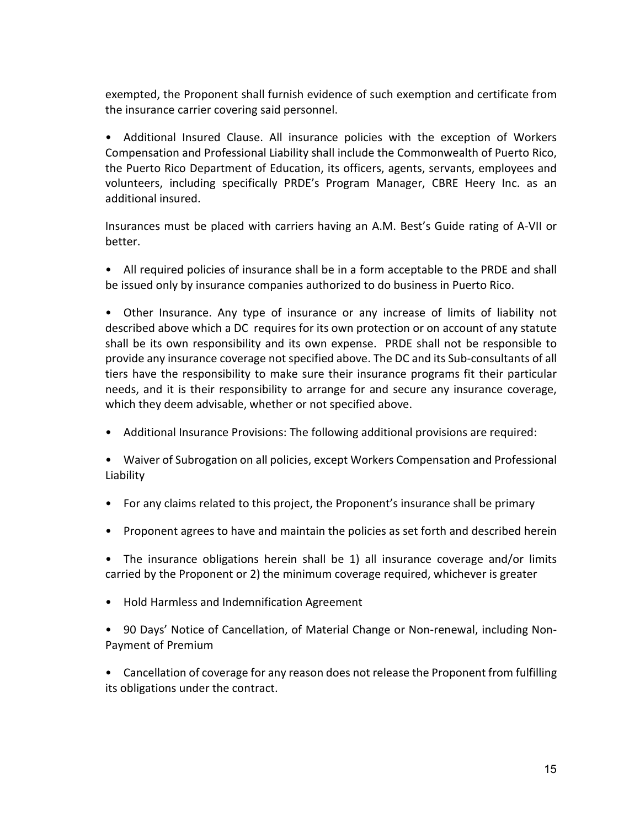exempted, the Proponent shall furnish evidence of such exemption and certificate from the insurance carrier covering said personnel.

• Additional Insured Clause. All insurance policies with the exception of Workers Compensation and Professional Liability shall include the Commonwealth of Puerto Rico, the Puerto Rico Department of Education, its officers, agents, servants, employees and volunteers, including specifically PRDE's Program Manager, CBRE Heery Inc. as an additional insured.

Insurances must be placed with carriers having an A.M. Best's Guide rating of A-VII or better.

• All required policies of insurance shall be in a form acceptable to the PRDE and shall be issued only by insurance companies authorized to do business in Puerto Rico.

• Other Insurance. Any type of insurance or any increase of limits of liability not described above which a DC requires for its own protection or on account of any statute shall be its own responsibility and its own expense. PRDE shall not be responsible to provide any insurance coverage not specified above. The DC and its Sub-consultants of all tiers have the responsibility to make sure their insurance programs fit their particular needs, and it is their responsibility to arrange for and secure any insurance coverage, which they deem advisable, whether or not specified above.

- Additional Insurance Provisions: The following additional provisions are required:
- Waiver of Subrogation on all policies, except Workers Compensation and Professional Liability
- For any claims related to this project, the Proponent's insurance shall be primary
- Proponent agrees to have and maintain the policies as set forth and described herein

• The insurance obligations herein shall be 1) all insurance coverage and/or limits carried by the Proponent or 2) the minimum coverage required, whichever is greater

• Hold Harmless and Indemnification Agreement

• 90 Days' Notice of Cancellation, of Material Change or Non-renewal, including Non-Payment of Premium

• Cancellation of coverage for any reason does not release the Proponent from fulfilling its obligations under the contract.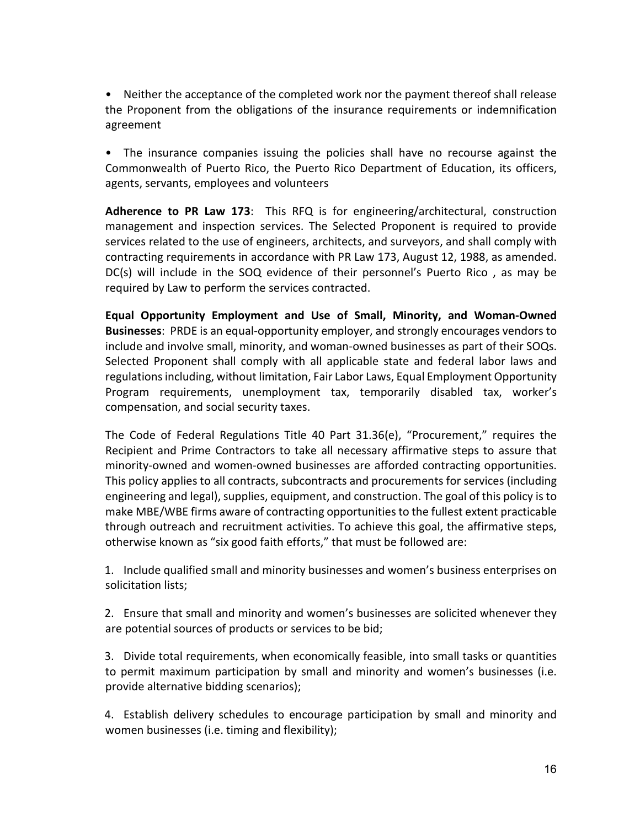• Neither the acceptance of the completed work nor the payment thereof shall release the Proponent from the obligations of the insurance requirements or indemnification agreement

• The insurance companies issuing the policies shall have no recourse against the Commonwealth of Puerto Rico, the Puerto Rico Department of Education, its officers, agents, servants, employees and volunteers

**Adherence to PR Law 173**: This RFQ is for engineering/architectural, construction management and inspection services. The Selected Proponent is required to provide services related to the use of engineers, architects, and surveyors, and shall comply with contracting requirements in accordance with PR Law 173, August 12, 1988, as amended. DC(s) will include in the SOQ evidence of their personnel's Puerto Rico , as may be required by Law to perform the services contracted.

**Equal Opportunity Employment and Use of Small, Minority, and Woman-Owned Businesses**: PRDE is an equal-opportunity employer, and strongly encourages vendors to include and involve small, minority, and woman-owned businesses as part of their SOQs. Selected Proponent shall comply with all applicable state and federal labor laws and regulations including, without limitation, Fair Labor Laws, Equal Employment Opportunity Program requirements, unemployment tax, temporarily disabled tax, worker's compensation, and social security taxes.

The Code of Federal Regulations Title 40 Part 31.36(e), "Procurement," requires the Recipient and Prime Contractors to take all necessary affirmative steps to assure that minority-owned and women-owned businesses are afforded contracting opportunities. This policy applies to all contracts, subcontracts and procurements for services (including engineering and legal), supplies, equipment, and construction. The goal of this policy is to make MBE/WBE firms aware of contracting opportunities to the fullest extent practicable through outreach and recruitment activities. To achieve this goal, the affirmative steps, otherwise known as "six good faith efforts," that must be followed are:

1. Include qualified small and minority businesses and women's business enterprises on solicitation lists;

2. Ensure that small and minority and women's businesses are solicited whenever they are potential sources of products or services to be bid;

3. Divide total requirements, when economically feasible, into small tasks or quantities to permit maximum participation by small and minority and women's businesses (i.e. provide alternative bidding scenarios);

4. Establish delivery schedules to encourage participation by small and minority and women businesses (i.e. timing and flexibility);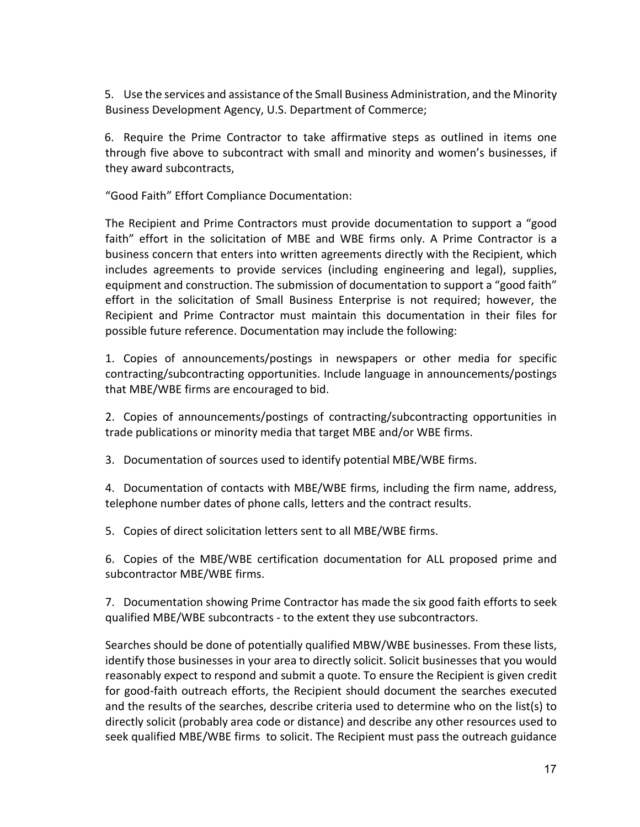5. Use the services and assistance of the Small Business Administration, and the Minority Business Development Agency, U.S. Department of Commerce;

6. Require the Prime Contractor to take affirmative steps as outlined in items one through five above to subcontract with small and minority and women's businesses, if they award subcontracts,

"Good Faith" Effort Compliance Documentation:

The Recipient and Prime Contractors must provide documentation to support a "good faith" effort in the solicitation of MBE and WBE firms only. A Prime Contractor is a business concern that enters into written agreements directly with the Recipient, which includes agreements to provide services (including engineering and legal), supplies, equipment and construction. The submission of documentation to support a "good faith" effort in the solicitation of Small Business Enterprise is not required; however, the Recipient and Prime Contractor must maintain this documentation in their files for possible future reference. Documentation may include the following:

1. Copies of announcements/postings in newspapers or other media for specific contracting/subcontracting opportunities. Include language in announcements/postings that MBE/WBE firms are encouraged to bid.

2. Copies of announcements/postings of contracting/subcontracting opportunities in trade publications or minority media that target MBE and/or WBE firms.

3. Documentation of sources used to identify potential MBE/WBE firms.

4. Documentation of contacts with MBE/WBE firms, including the firm name, address, telephone number dates of phone calls, letters and the contract results.

5. Copies of direct solicitation letters sent to all MBE/WBE firms.

6. Copies of the MBE/WBE certification documentation for ALL proposed prime and subcontractor MBE/WBE firms.

7. Documentation showing Prime Contractor has made the six good faith efforts to seek qualified MBE/WBE subcontracts - to the extent they use subcontractors.

Searches should be done of potentially qualified MBW/WBE businesses. From these lists, identify those businesses in your area to directly solicit. Solicit businesses that you would reasonably expect to respond and submit a quote. To ensure the Recipient is given credit for good-faith outreach efforts, the Recipient should document the searches executed and the results of the searches, describe criteria used to determine who on the list(s) to directly solicit (probably area code or distance) and describe any other resources used to seek qualified MBE/WBE firms to solicit. The Recipient must pass the outreach guidance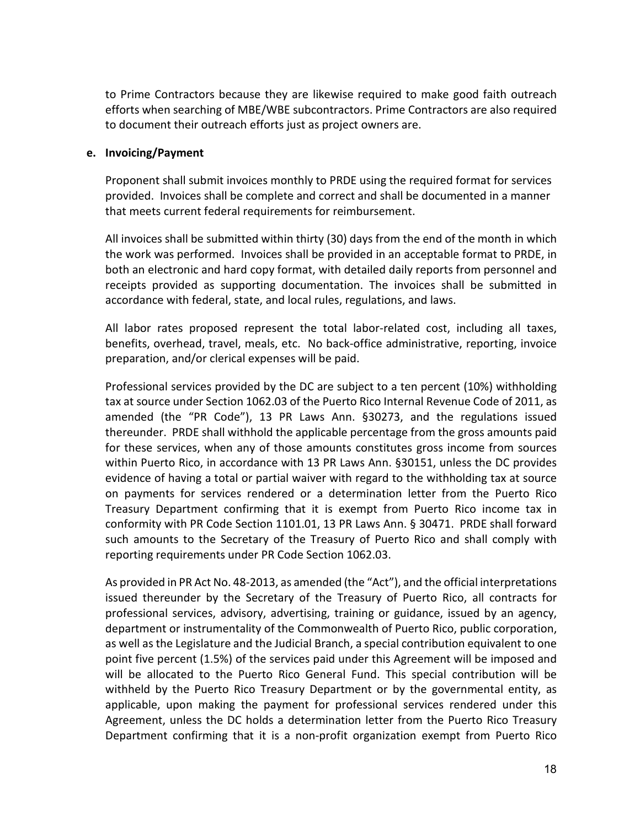to Prime Contractors because they are likewise required to make good faith outreach efforts when searching of MBE/WBE subcontractors. Prime Contractors are also required to document their outreach efforts just as project owners are.

#### **e. Invoicing/Payment**

Proponent shall submit invoices monthly to PRDE using the required format for services provided. Invoices shall be complete and correct and shall be documented in a manner that meets current federal requirements for reimbursement.

All invoices shall be submitted within thirty (30) days from the end of the month in which the work was performed. Invoices shall be provided in an acceptable format to PRDE, in both an electronic and hard copy format, with detailed daily reports from personnel and receipts provided as supporting documentation. The invoices shall be submitted in accordance with federal, state, and local rules, regulations, and laws.

All labor rates proposed represent the total labor-related cost, including all taxes, benefits, overhead, travel, meals, etc. No back-office administrative, reporting, invoice preparation, and/or clerical expenses will be paid.

Professional services provided by the DC are subject to a ten percent (10%) withholding tax at source under Section 1062.03 of the Puerto Rico Internal Revenue Code of 2011, as amended (the "PR Code"), 13 PR Laws Ann. §30273, and the regulations issued thereunder. PRDE shall withhold the applicable percentage from the gross amounts paid for these services, when any of those amounts constitutes gross income from sources within Puerto Rico, in accordance with 13 PR Laws Ann. §30151, unless the DC provides evidence of having a total or partial waiver with regard to the withholding tax at source on payments for services rendered or a determination letter from the Puerto Rico Treasury Department confirming that it is exempt from Puerto Rico income tax in conformity with PR Code Section 1101.01, 13 PR Laws Ann. § 30471. PRDE shall forward such amounts to the Secretary of the Treasury of Puerto Rico and shall comply with reporting requirements under PR Code Section 1062.03.

As provided in PR Act No. 48-2013, as amended (the "Act"), and the official interpretations issued thereunder by the Secretary of the Treasury of Puerto Rico, all contracts for professional services, advisory, advertising, training or guidance, issued by an agency, department or instrumentality of the Commonwealth of Puerto Rico, public corporation, as well as the Legislature and the Judicial Branch, a special contribution equivalent to one point five percent (1.5%) of the services paid under this Agreement will be imposed and will be allocated to the Puerto Rico General Fund. This special contribution will be withheld by the Puerto Rico Treasury Department or by the governmental entity, as applicable, upon making the payment for professional services rendered under this Agreement, unless the DC holds a determination letter from the Puerto Rico Treasury Department confirming that it is a non-profit organization exempt from Puerto Rico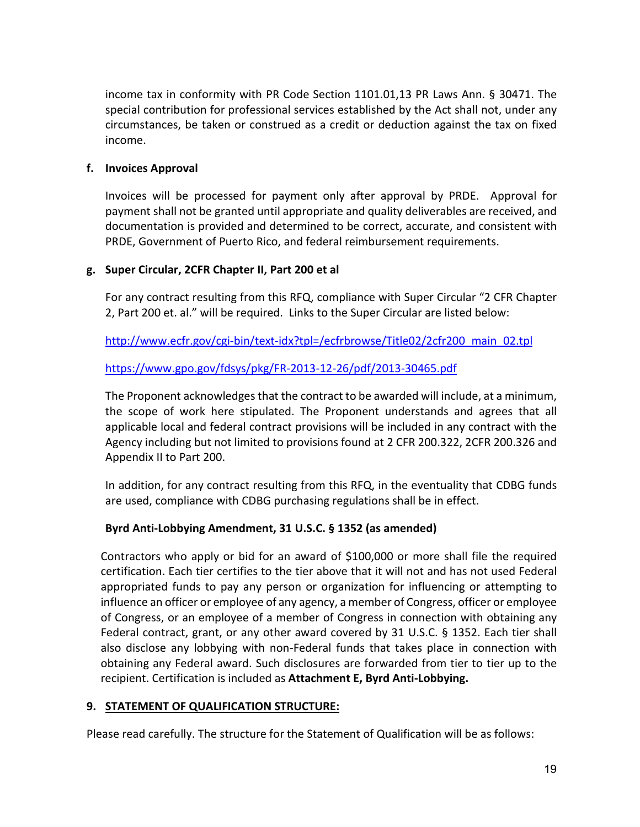income tax in conformity with PR Code Section 1101.01,13 PR Laws Ann. § 30471. The special contribution for professional services established by the Act shall not, under any circumstances, be taken or construed as a credit or deduction against the tax on fixed income.

# **f. Invoices Approval**

Invoices will be processed for payment only after approval by PRDE. Approval for payment shall not be granted until appropriate and quality deliverables are received, and documentation is provided and determined to be correct, accurate, and consistent with PRDE, Government of Puerto Rico, and federal reimbursement requirements.

#### **g. Super Circular, 2CFR Chapter II, Part 200 et al**

For any contract resulting from this RFQ, compliance with Super Circular "2 CFR Chapter 2, Part 200 et. al." will be required. Links to the Super Circular are listed below:

[http://www.ecfr.gov/cgi-bin/text-idx?tpl=/ecfrbrowse/Title02/2cfr200\\_main\\_02.tpl](http://www.ecfr.gov/cgi-bin/text-idx?tpl=/ecfrbrowse/Title02/2cfr200_main_02.tpl)

#### <https://www.gpo.gov/fdsys/pkg/FR-2013-12-26/pdf/2013-30465.pdf>

The Proponent acknowledges that the contract to be awarded will include, at a minimum, the scope of work here stipulated. The Proponent understands and agrees that all applicable local and federal contract provisions will be included in any contract with the Agency including but not limited to provisions found at 2 CFR 200.322, 2CFR 200.326 and Appendix II to Part 200.

In addition, for any contract resulting from this RFQ, in the eventuality that CDBG funds are used, compliance with CDBG purchasing regulations shall be in effect.

# **Byrd Anti-Lobbying Amendment, 31 U.S.C. § 1352 (as amended)**

Contractors who apply or bid for an award of \$100,000 or more shall file the required certification. Each tier certifies to the tier above that it will not and has not used Federal appropriated funds to pay any person or organization for influencing or attempting to influence an officer or employee of any agency, a member of Congress, officer or employee of Congress, or an employee of a member of Congress in connection with obtaining any Federal contract, grant, or any other award covered by 31 U.S.C. § 1352. Each tier shall also disclose any lobbying with non-Federal funds that takes place in connection with obtaining any Federal award. Such disclosures are forwarded from tier to tier up to the recipient. Certification is included as **Attachment E, Byrd Anti-Lobbying.**

#### **9. STATEMENT OF QUALIFICATION STRUCTURE:**

Please read carefully. The structure for the Statement of Qualification will be as follows: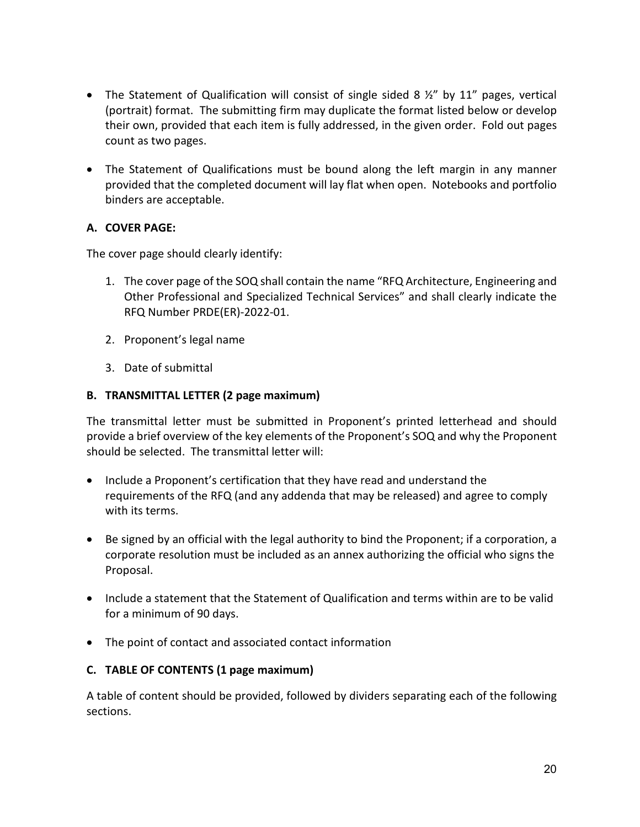- The Statement of Qualification will consist of single sided 8  $\frac{1}{2}$ " by 11" pages, vertical (portrait) format. The submitting firm may duplicate the format listed below or develop their own, provided that each item is fully addressed, in the given order. Fold out pages count as two pages.
- The Statement of Qualifications must be bound along the left margin in any manner provided that the completed document will lay flat when open. Notebooks and portfolio binders are acceptable.

# **A. COVER PAGE:**

The cover page should clearly identify:

- 1. The cover page of the SOQ shall contain the name "RFQ Architecture, Engineering and Other Professional and Specialized Technical Services" and shall clearly indicate the RFQ Number PRDE(ER)-2022-01.
- 2. Proponent's legal name
- 3. Date of submittal

# **B. TRANSMITTAL LETTER (2 page maximum)**

The transmittal letter must be submitted in Proponent's printed letterhead and should provide a brief overview of the key elements of the Proponent's SOQ and why the Proponent should be selected. The transmittal letter will:

- Include a Proponent's certification that they have read and understand the requirements of the RFQ (and any addenda that may be released) and agree to comply with its terms.
- Be signed by an official with the legal authority to bind the Proponent; if a corporation, a corporate resolution must be included as an annex authorizing the official who signs the Proposal.
- Include a statement that the Statement of Qualification and terms within are to be valid for a minimum of 90 days.
- The point of contact and associated contact information

# **C. TABLE OF CONTENTS (1 page maximum)**

A table of content should be provided, followed by dividers separating each of the following sections.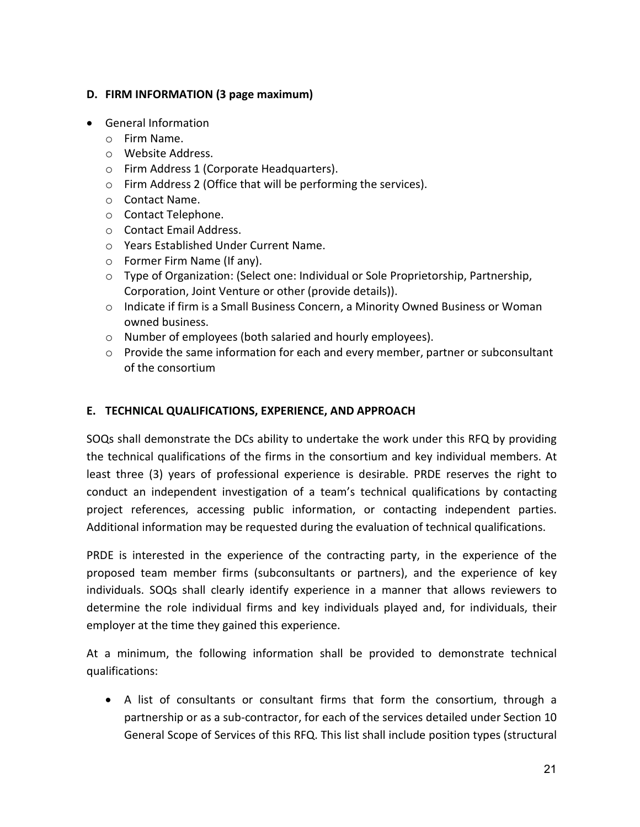# **D. FIRM INFORMATION (3 page maximum)**

- General Information
	- o Firm Name.
	- o Website Address.
	- o Firm Address 1 (Corporate Headquarters).
	- o Firm Address 2 (Office that will be performing the services).
	- o Contact Name.
	- o Contact Telephone.
	- o Contact Email Address.
	- o Years Established Under Current Name.
	- o Former Firm Name (If any).
	- o Type of Organization: (Select one: Individual or Sole Proprietorship, Partnership, Corporation, Joint Venture or other (provide details)).
	- o Indicate if firm is a Small Business Concern, a Minority Owned Business or Woman owned business.
	- o Number of employees (both salaried and hourly employees).
	- $\circ$  Provide the same information for each and every member, partner or subconsultant of the consortium

# **E. TECHNICAL QUALIFICATIONS, EXPERIENCE, AND APPROACH**

SOQs shall demonstrate the DCs ability to undertake the work under this RFQ by providing the technical qualifications of the firms in the consortium and key individual members. At least three (3) years of professional experience is desirable. PRDE reserves the right to conduct an independent investigation of a team's technical qualifications by contacting project references, accessing public information, or contacting independent parties. Additional information may be requested during the evaluation of technical qualifications.

PRDE is interested in the experience of the contracting party, in the experience of the proposed team member firms (subconsultants or partners), and the experience of key individuals. SOQs shall clearly identify experience in a manner that allows reviewers to determine the role individual firms and key individuals played and, for individuals, their employer at the time they gained this experience.

At a minimum, the following information shall be provided to demonstrate technical qualifications:

• A list of consultants or consultant firms that form the consortium, through a partnership or as a sub-contractor, for each of the services detailed under Section 10 General Scope of Services of this RFQ. This list shall include position types (structural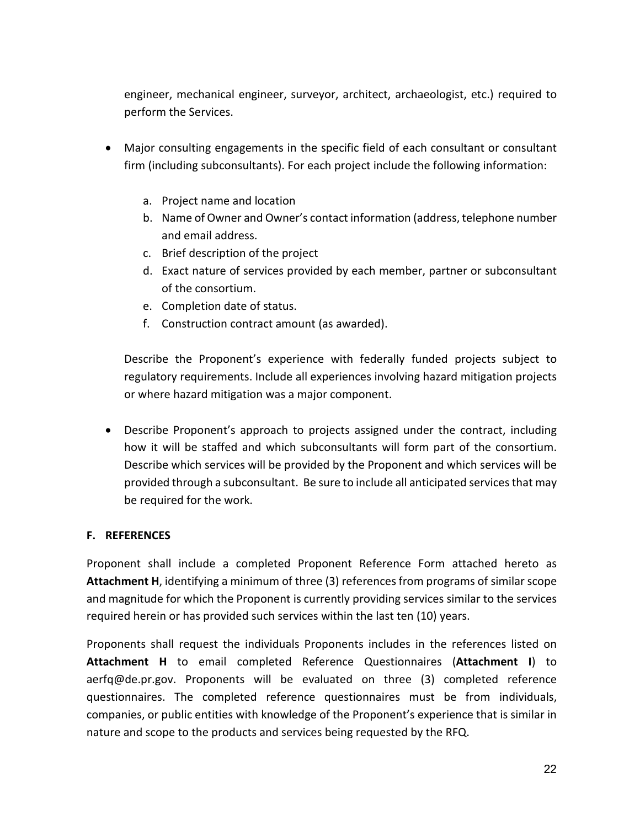engineer, mechanical engineer, surveyor, architect, archaeologist, etc.) required to perform the Services.

- Major consulting engagements in the specific field of each consultant or consultant firm (including subconsultants). For each project include the following information:
	- a. Project name and location
	- b. Name of Owner and Owner's contact information (address, telephone number and email address.
	- c. Brief description of the project
	- d. Exact nature of services provided by each member, partner or subconsultant of the consortium.
	- e. Completion date of status.
	- f. Construction contract amount (as awarded).

Describe the Proponent's experience with federally funded projects subject to regulatory requirements. Include all experiences involving hazard mitigation projects or where hazard mitigation was a major component.

• Describe Proponent's approach to projects assigned under the contract, including how it will be staffed and which subconsultants will form part of the consortium. Describe which services will be provided by the Proponent and which services will be provided through a subconsultant. Be sure to include all anticipated services that may be required for the work.

#### **F. REFERENCES**

Proponent shall include a completed Proponent Reference Form attached hereto as **Attachment H**, identifying a minimum of three (3) references from programs of similar scope and magnitude for which the Proponent is currently providing services similar to the services required herein or has provided such services within the last ten (10) years.

Proponents shall request the individuals Proponents includes in the references listed on **Attachment H** to email completed Reference Questionnaires (**Attachment I**) to aerfq@de.pr.gov. Proponents will be evaluated on three (3) completed reference questionnaires. The completed reference questionnaires must be from individuals, companies, or public entities with knowledge of the Proponent's experience that is similar in nature and scope to the products and services being requested by the RFQ.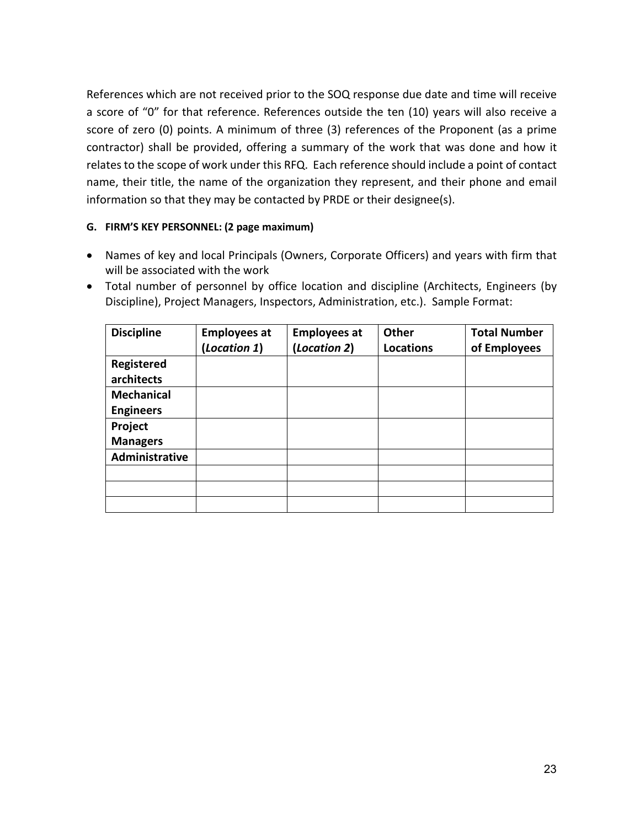References which are not received prior to the SOQ response due date and time will receive a score of "0" for that reference. References outside the ten (10) years will also receive a score of zero (0) points. A minimum of three (3) references of the Proponent (as a prime contractor) shall be provided, offering a summary of the work that was done and how it relates to the scope of work under this RFQ. Each reference should include a point of contact name, their title, the name of the organization they represent, and their phone and email information so that they may be contacted by PRDE or their designee(s).

#### **G. FIRM'S KEY PERSONNEL: (2 page maximum)**

- Names of key and local Principals (Owners, Corporate Officers) and years with firm that will be associated with the work
- Total number of personnel by office location and discipline (Architects, Engineers (by Discipline), Project Managers, Inspectors, Administration, etc.). Sample Format:

| <b>Discipline</b> | <b>Employees at</b> | <b>Employees at</b> | Other            | <b>Total Number</b> |
|-------------------|---------------------|---------------------|------------------|---------------------|
|                   | (Location 1)        | (Location 2)        | <b>Locations</b> | of Employees        |
| <b>Registered</b> |                     |                     |                  |                     |
| architects        |                     |                     |                  |                     |
| <b>Mechanical</b> |                     |                     |                  |                     |
| <b>Engineers</b>  |                     |                     |                  |                     |
| Project           |                     |                     |                  |                     |
| <b>Managers</b>   |                     |                     |                  |                     |
| Administrative    |                     |                     |                  |                     |
|                   |                     |                     |                  |                     |
|                   |                     |                     |                  |                     |
|                   |                     |                     |                  |                     |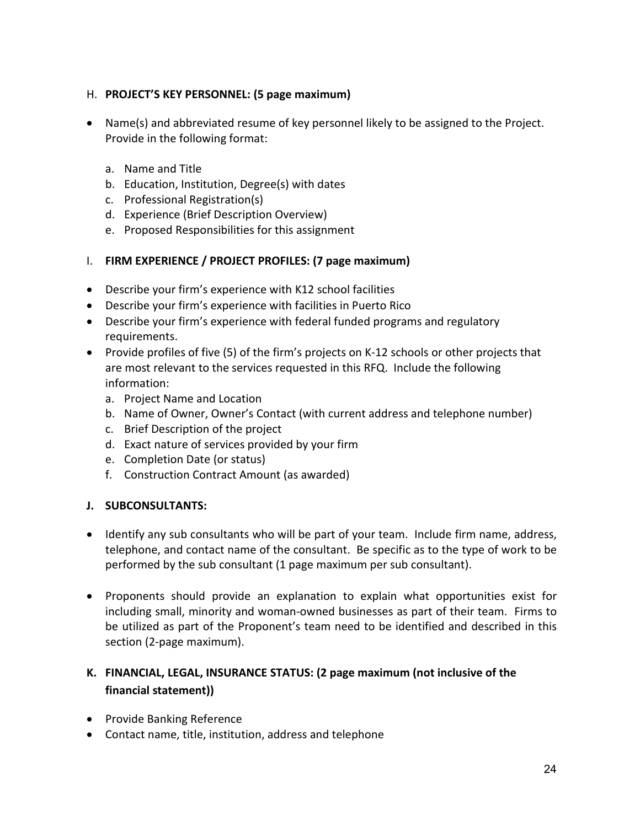# H. **PROJECT'S KEY PERSONNEL: (5 page maximum)**

- Name(s) and abbreviated resume of key personnel likely to be assigned to the Project. Provide in the following format:
	- a. Name and Title
	- b. Education, Institution, Degree(s) with dates
	- c. Professional Registration(s)
	- d. Experience (Brief Description Overview)
	- e. Proposed Responsibilities for this assignment
- I. **FIRM EXPERIENCE / PROJECT PROFILES: (7 page maximum)**
- Describe your firm's experience with K12 school facilities
- Describe your firm's experience with facilities in Puerto Rico
- Describe your firm's experience with federal funded programs and regulatory requirements.
- Provide profiles of five (5) of the firm's projects on K-12 schools or other projects that are most relevant to the services requested in this RFQ. Include the following information:
	- a. Project Name and Location
	- b. Name of Owner, Owner's Contact (with current address and telephone number)
	- c. Brief Description of the project
	- d. Exact nature of services provided by your firm
	- e. Completion Date (or status)
	- f. Construction Contract Amount (as awarded)

# **J. SUBCONSULTANTS:**

- Identify any sub consultants who will be part of your team. Include firm name, address, telephone, and contact name of the consultant. Be specific as to the type of work to be performed by the sub consultant (1 page maximum per sub consultant).
- Proponents should provide an explanation to explain what opportunities exist for including small, minority and woman-owned businesses as part of their team. Firms to be utilized as part of the Proponent's team need to be identified and described in this section (2-page maximum).

# **K. FINANCIAL, LEGAL, INSURANCE STATUS: (2 page maximum (not inclusive of the financial statement))**

- Provide Banking Reference
- Contact name, title, institution, address and telephone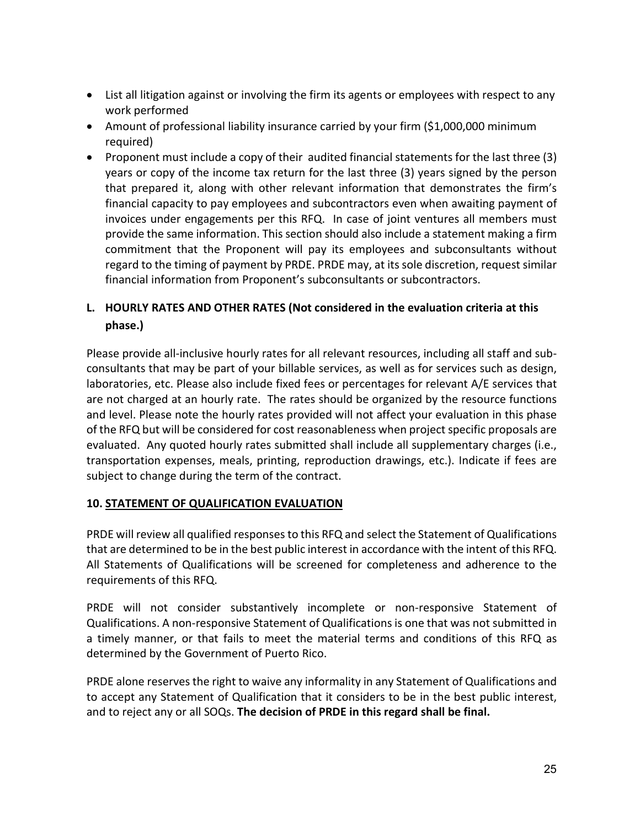- List all litigation against or involving the firm its agents or employees with respect to any work performed
- Amount of professional liability insurance carried by your firm (\$1,000,000 minimum required)
- Proponent must include a copy of their audited financial statements for the last three (3) years or copy of the income tax return for the last three (3) years signed by the person that prepared it, along with other relevant information that demonstrates the firm's financial capacity to pay employees and subcontractors even when awaiting payment of invoices under engagements per this RFQ. In case of joint ventures all members must provide the same information. This section should also include a statement making a firm commitment that the Proponent will pay its employees and subconsultants without regard to the timing of payment by PRDE. PRDE may, at its sole discretion, request similar financial information from Proponent's subconsultants or subcontractors.

# **L. HOURLY RATES AND OTHER RATES (Not considered in the evaluation criteria at this phase.)**

Please provide all-inclusive hourly rates for all relevant resources, including all staff and subconsultants that may be part of your billable services, as well as for services such as design, laboratories, etc. Please also include fixed fees or percentages for relevant A/E services that are not charged at an hourly rate. The rates should be organized by the resource functions and level. Please note the hourly rates provided will not affect your evaluation in this phase of the RFQ but will be considered for cost reasonableness when project specific proposals are evaluated. Any quoted hourly rates submitted shall include all supplementary charges (i.e., transportation expenses, meals, printing, reproduction drawings, etc.). Indicate if fees are subject to change during the term of the contract.

# **10. STATEMENT OF QUALIFICATION EVALUATION**

PRDE will review all qualified responses to this RFQ and select the Statement of Qualifications that are determined to be in the best public interest in accordance with the intent of this RFQ. All Statements of Qualifications will be screened for completeness and adherence to the requirements of this RFQ.

PRDE will not consider substantively incomplete or non-responsive Statement of Qualifications. A non-responsive Statement of Qualifications is one that was not submitted in a timely manner, or that fails to meet the material terms and conditions of this RFQ as determined by the Government of Puerto Rico.

PRDE alone reserves the right to waive any informality in any Statement of Qualifications and to accept any Statement of Qualification that it considers to be in the best public interest, and to reject any or all SOQs. **The decision of PRDE in this regard shall be final.**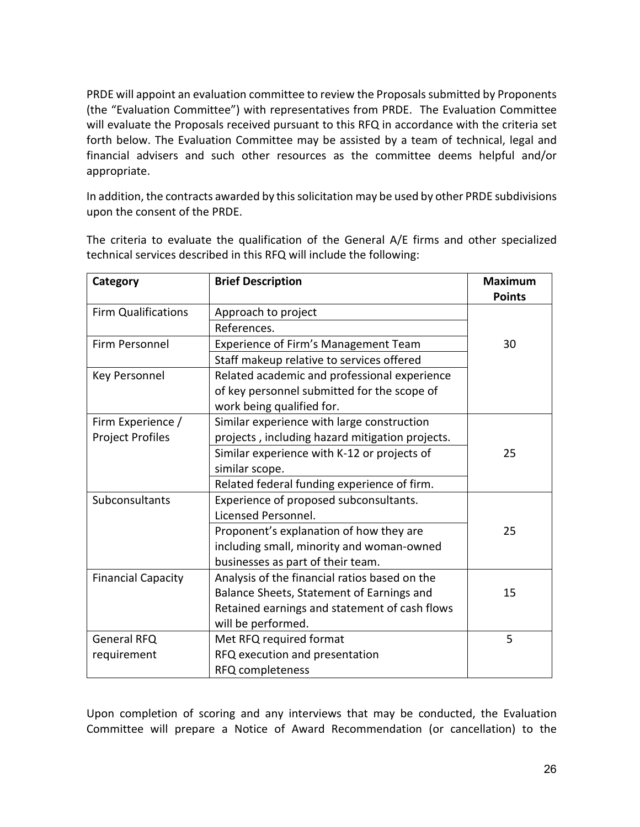PRDE will appoint an evaluation committee to review the Proposals submitted by Proponents (the "Evaluation Committee") with representatives from PRDE. The Evaluation Committee will evaluate the Proposals received pursuant to this RFQ in accordance with the criteria set forth below. The Evaluation Committee may be assisted by a team of technical, legal and financial advisers and such other resources as the committee deems helpful and/or appropriate.

In addition, the contracts awarded by this solicitation may be used by other PRDE subdivisions upon the consent of the PRDE.

The criteria to evaluate the qualification of the General A/E firms and other specialized technical services described in this RFQ will include the following:

| Category                   | <b>Brief Description</b>                        | <b>Maximum</b> |
|----------------------------|-------------------------------------------------|----------------|
|                            |                                                 | <b>Points</b>  |
| <b>Firm Qualifications</b> | Approach to project                             |                |
|                            | References.                                     |                |
| Firm Personnel             | Experience of Firm's Management Team            | 30             |
|                            | Staff makeup relative to services offered       |                |
| Key Personnel              | Related academic and professional experience    |                |
|                            | of key personnel submitted for the scope of     |                |
|                            | work being qualified for.                       |                |
| Firm Experience /          | Similar experience with large construction      |                |
| <b>Project Profiles</b>    | projects, including hazard mitigation projects. |                |
|                            | Similar experience with K-12 or projects of     | 25             |
|                            | similar scope.                                  |                |
|                            | Related federal funding experience of firm.     |                |
| Subconsultants             | Experience of proposed subconsultants.          |                |
|                            | Licensed Personnel.                             |                |
|                            | Proponent's explanation of how they are         | 25             |
|                            | including small, minority and woman-owned       |                |
|                            | businesses as part of their team.               |                |
| <b>Financial Capacity</b>  | Analysis of the financial ratios based on the   |                |
|                            | Balance Sheets, Statement of Earnings and       | 15             |
|                            | Retained earnings and statement of cash flows   |                |
|                            | will be performed.                              |                |
| <b>General RFQ</b>         | Met RFQ required format                         | 5              |
| requirement                | RFQ execution and presentation                  |                |
|                            | RFQ completeness                                |                |

Upon completion of scoring and any interviews that may be conducted, the Evaluation Committee will prepare a Notice of Award Recommendation (or cancellation) to the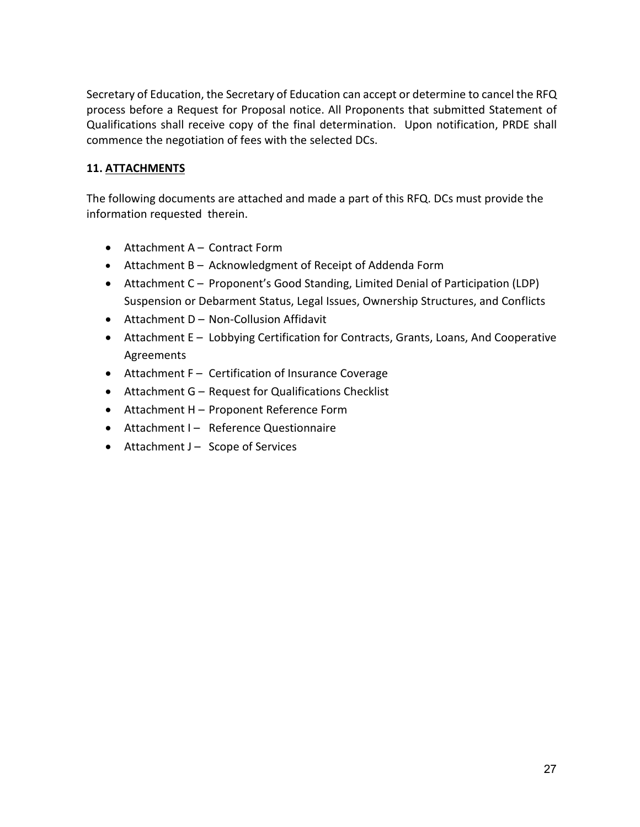Secretary of Education, the Secretary of Education can accept or determine to cancel the RFQ process before a Request for Proposal notice. All Proponents that submitted Statement of Qualifications shall receive copy of the final determination. Upon notification, PRDE shall commence the negotiation of fees with the selected DCs.

# **11. ATTACHMENTS**

The following documents are attached and made a part of this RFQ. DCs must provide the information requested therein.

- Attachment A Contract Form
- Attachment B Acknowledgment of Receipt of Addenda Form
- Attachment C Proponent's Good Standing, Limited Denial of Participation (LDP) Suspension or Debarment Status, Legal Issues, Ownership Structures, and Conflicts
- Attachment D Non-Collusion Affidavit
- Attachment E Lobbying Certification for Contracts, Grants, Loans, And Cooperative Agreements
- Attachment F Certification of Insurance Coverage
- Attachment G Request for Qualifications Checklist
- Attachment H Proponent Reference Form
- Attachment I Reference Questionnaire
- Attachment  $J -$  Scope of Services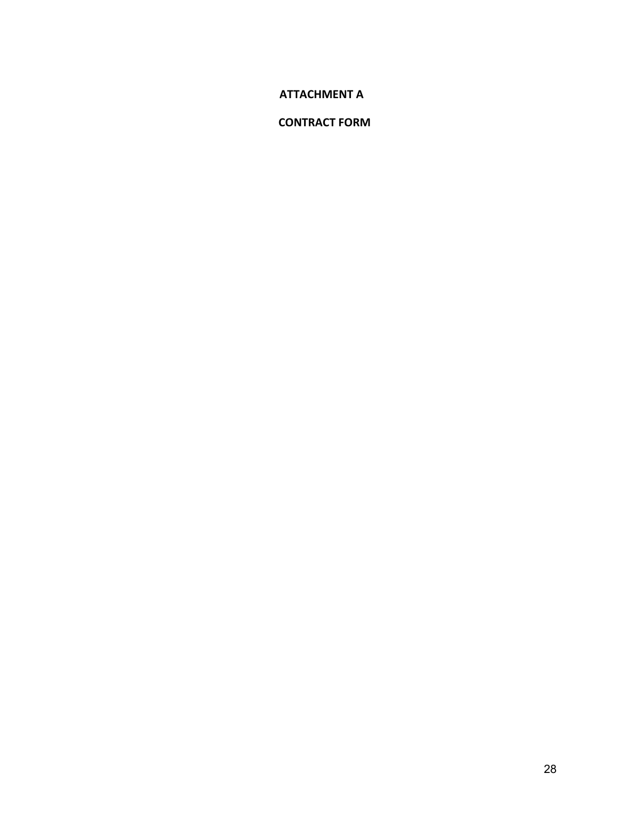#### **ATTACHMENT A**

# **CONTRACT FORM**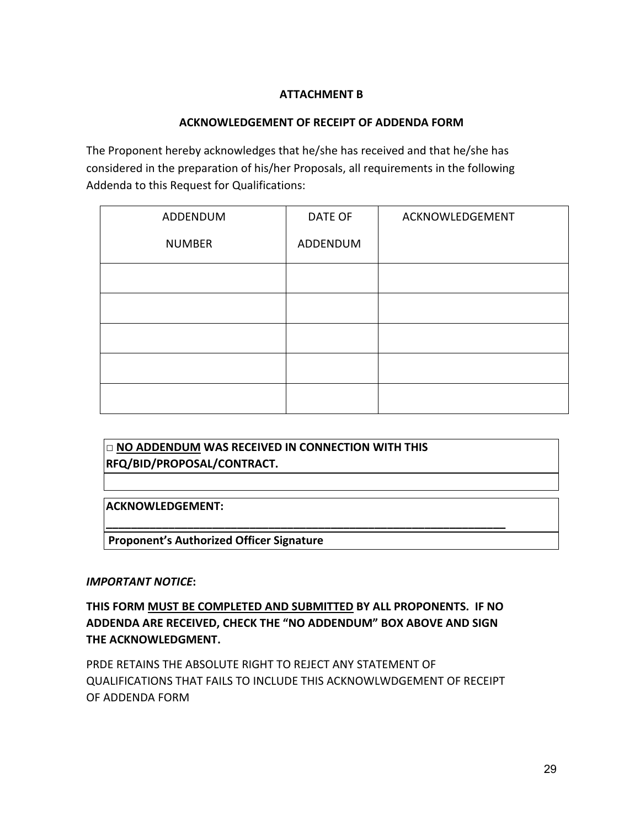# **ATTACHMENT B**

# **ACKNOWLEDGEMENT OF RECEIPT OF ADDENDA FORM**

The Proponent hereby acknowledges that he/she has received and that he/she has considered in the preparation of his/her Proposals, all requirements in the following Addenda to this Request for Qualifications:

| ADDENDUM      | DATE OF  | ACKNOWLEDGEMENT |
|---------------|----------|-----------------|
| <b>NUMBER</b> | ADDENDUM |                 |
|               |          |                 |
|               |          |                 |
|               |          |                 |
|               |          |                 |
|               |          |                 |

**□ NO ADDENDUM WAS RECEIVED IN CONNECTION WITH THIS RFQ/BID/PROPOSAL/CONTRACT.** 

**ACKNOWLEDGEMENT:** 

**Proponent's Authorized Officer Signature**

#### *IMPORTANT NOTICE***:**

**THIS FORM MUST BE COMPLETED AND SUBMITTED BY ALL PROPONENTS. IF NO ADDENDA ARE RECEIVED, CHECK THE "NO ADDENDUM" BOX ABOVE AND SIGN THE ACKNOWLEDGMENT.** 

**\_\_\_\_\_\_\_\_\_\_\_\_\_\_\_\_\_\_\_\_\_\_\_\_\_\_\_\_\_\_\_\_\_\_\_\_\_\_\_\_\_\_\_\_\_\_\_\_\_\_\_\_\_\_\_\_\_\_\_\_\_\_\_\_** 

PRDE RETAINS THE ABSOLUTE RIGHT TO REJECT ANY STATEMENT OF QUALIFICATIONS THAT FAILS TO INCLUDE THIS ACKNOWLWDGEMENT OF RECEIPT OF ADDENDA FORM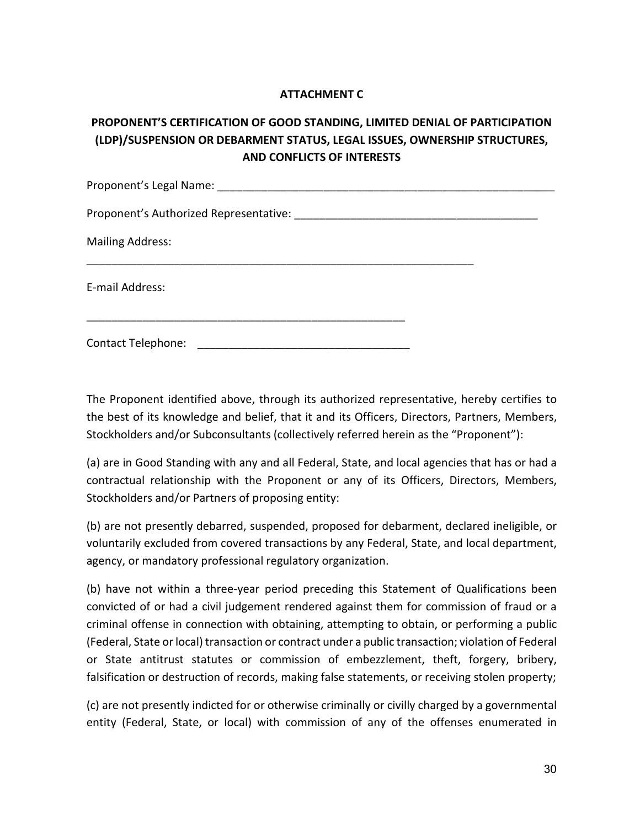# **ATTACHMENT C**

# **PROPONENT'S CERTIFICATION OF GOOD STANDING, LIMITED DENIAL OF PARTICIPATION (LDP)/SUSPENSION OR DEBARMENT STATUS, LEGAL ISSUES, OWNERSHIP STRUCTURES, AND CONFLICTS OF INTERESTS**

| Proponent's Legal Name:                |  |
|----------------------------------------|--|
| Proponent's Authorized Representative: |  |
| <b>Mailing Address:</b>                |  |
| E-mail Address:                        |  |
| Contact Telephone:                     |  |

The Proponent identified above, through its authorized representative, hereby certifies to the best of its knowledge and belief, that it and its Officers, Directors, Partners, Members, Stockholders and/or Subconsultants (collectively referred herein as the "Proponent"):

(a) are in Good Standing with any and all Federal, State, and local agencies that has or had a contractual relationship with the Proponent or any of its Officers, Directors, Members, Stockholders and/or Partners of proposing entity:

(b) are not presently debarred, suspended, proposed for debarment, declared ineligible, or voluntarily excluded from covered transactions by any Federal, State, and local department, agency, or mandatory professional regulatory organization.

(b) have not within a three-year period preceding this Statement of Qualifications been convicted of or had a civil judgement rendered against them for commission of fraud or a criminal offense in connection with obtaining, attempting to obtain, or performing a public (Federal, State or local) transaction or contract under a public transaction; violation of Federal or State antitrust statutes or commission of embezzlement, theft, forgery, bribery, falsification or destruction of records, making false statements, or receiving stolen property;

(c) are not presently indicted for or otherwise criminally or civilly charged by a governmental entity (Federal, State, or local) with commission of any of the offenses enumerated in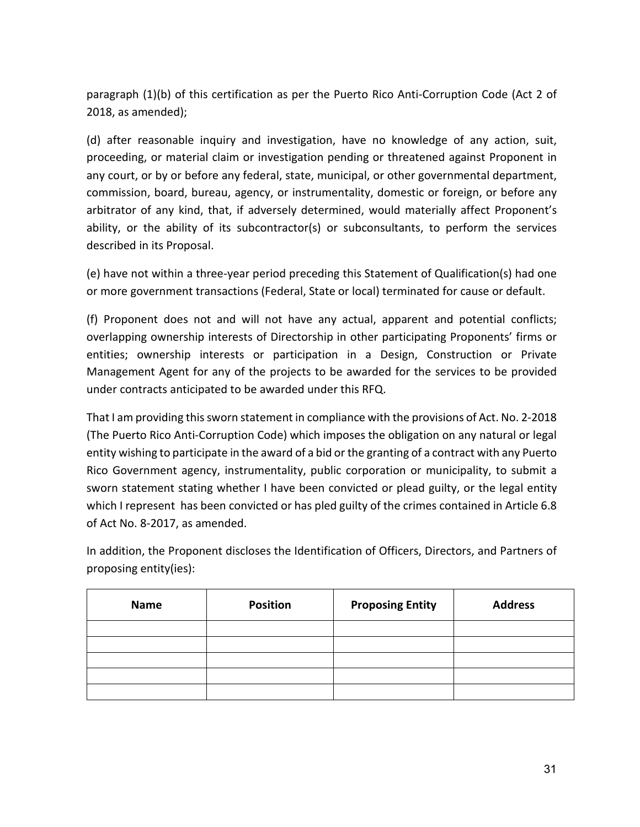paragraph (1)(b) of this certification as per the Puerto Rico Anti-Corruption Code (Act 2 of 2018, as amended);

(d) after reasonable inquiry and investigation, have no knowledge of any action, suit, proceeding, or material claim or investigation pending or threatened against Proponent in any court, or by or before any federal, state, municipal, or other governmental department, commission, board, bureau, agency, or instrumentality, domestic or foreign, or before any arbitrator of any kind, that, if adversely determined, would materially affect Proponent's ability, or the ability of its subcontractor(s) or subconsultants, to perform the services described in its Proposal.

(e) have not within a three-year period preceding this Statement of Qualification(s) had one or more government transactions (Federal, State or local) terminated for cause or default.

(f) Proponent does not and will not have any actual, apparent and potential conflicts; overlapping ownership interests of Directorship in other participating Proponents' firms or entities; ownership interests or participation in a Design, Construction or Private Management Agent for any of the projects to be awarded for the services to be provided under contracts anticipated to be awarded under this RFQ.

That I am providing this sworn statement in compliance with the provisions of Act. No. 2-2018 (The Puerto Rico Anti-Corruption Code) which imposes the obligation on any natural or legal entity wishing to participate in the award of a bid or the granting of a contract with any Puerto Rico Government agency, instrumentality, public corporation or municipality, to submit a sworn statement stating whether I have been convicted or plead guilty, or the legal entity which I represent has been convicted or has pled guilty of the crimes contained in Article 6.8 of Act No. 8-2017, as amended.

In addition, the Proponent discloses the Identification of Officers, Directors, and Partners of proposing entity(ies):

| <b>Name</b> | <b>Position</b> | <b>Proposing Entity</b> | <b>Address</b> |
|-------------|-----------------|-------------------------|----------------|
|             |                 |                         |                |
|             |                 |                         |                |
|             |                 |                         |                |
|             |                 |                         |                |
|             |                 |                         |                |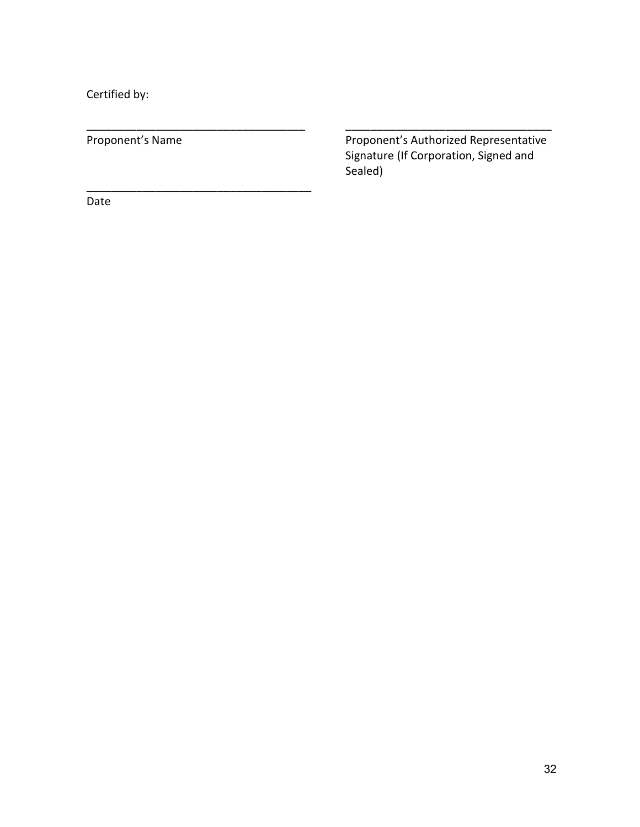Certified by:

\_\_\_\_\_\_\_\_\_\_\_\_\_\_\_\_\_\_\_\_\_\_\_\_\_\_\_\_\_\_\_\_\_\_\_\_

Proponent's Name Proponent's Authorized Representative Signature (If Corporation, Signed and Sealed)

\_\_\_\_\_\_\_\_\_\_\_\_\_\_\_\_\_\_\_\_\_\_\_\_\_\_\_\_\_\_\_\_\_\_\_ \_\_\_\_\_\_\_\_\_\_\_\_\_\_\_\_\_\_\_\_\_\_\_\_\_\_\_\_\_\_\_\_\_

Date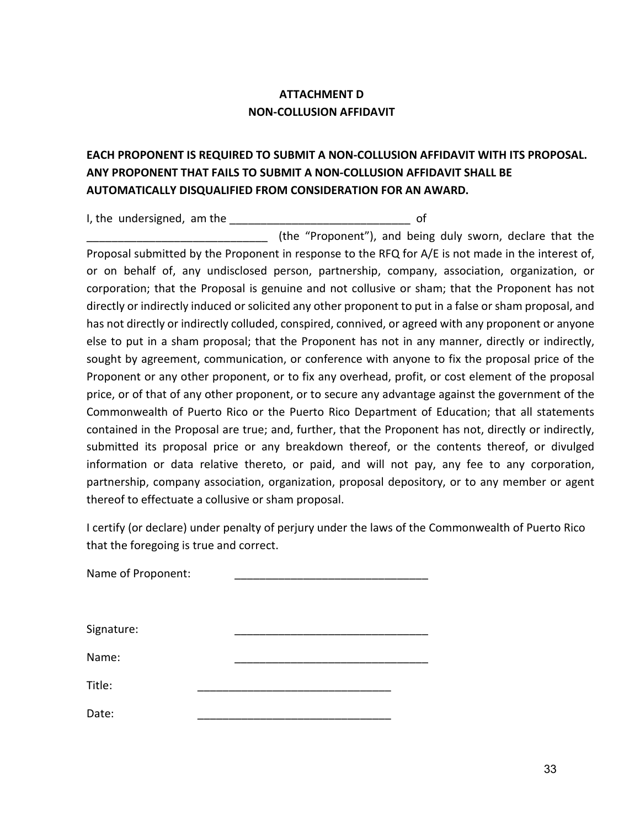# **ATTACHMENT D NON-COLLUSION AFFIDAVIT**

# **EACH PROPONENT IS REQUIRED TO SUBMIT A NON-COLLUSION AFFIDAVIT WITH ITS PROPOSAL. ANY PROPONENT THAT FAILS TO SUBMIT A NON-COLLUSION AFFIDAVIT SHALL BE AUTOMATICALLY DISQUALIFIED FROM CONSIDERATION FOR AN AWARD.**

I, the undersigned, am the example of

(the "Proponent"), and being duly sworn, declare that the Proposal submitted by the Proponent in response to the RFQ for A/E is not made in the interest of, or on behalf of, any undisclosed person, partnership, company, association, organization, or corporation; that the Proposal is genuine and not collusive or sham; that the Proponent has not directly or indirectly induced or solicited any other proponent to put in a false or sham proposal, and has not directly or indirectly colluded, conspired, connived, or agreed with any proponent or anyone else to put in a sham proposal; that the Proponent has not in any manner, directly or indirectly, sought by agreement, communication, or conference with anyone to fix the proposal price of the Proponent or any other proponent, or to fix any overhead, profit, or cost element of the proposal price, or of that of any other proponent, or to secure any advantage against the government of the Commonwealth of Puerto Rico or the Puerto Rico Department of Education; that all statements contained in the Proposal are true; and, further, that the Proponent has not, directly or indirectly, submitted its proposal price or any breakdown thereof, or the contents thereof, or divulged information or data relative thereto, or paid, and will not pay, any fee to any corporation, partnership, company association, organization, proposal depository, or to any member or agent thereof to effectuate a collusive or sham proposal.

I certify (or declare) under penalty of perjury under the laws of the Commonwealth of Puerto Rico that the foregoing is true and correct.

| Name of Proponent: |  |  |  |
|--------------------|--|--|--|
|                    |  |  |  |
|                    |  |  |  |
| Signature:         |  |  |  |
|                    |  |  |  |
| Name:              |  |  |  |
|                    |  |  |  |
| Title:             |  |  |  |
|                    |  |  |  |
| Date:              |  |  |  |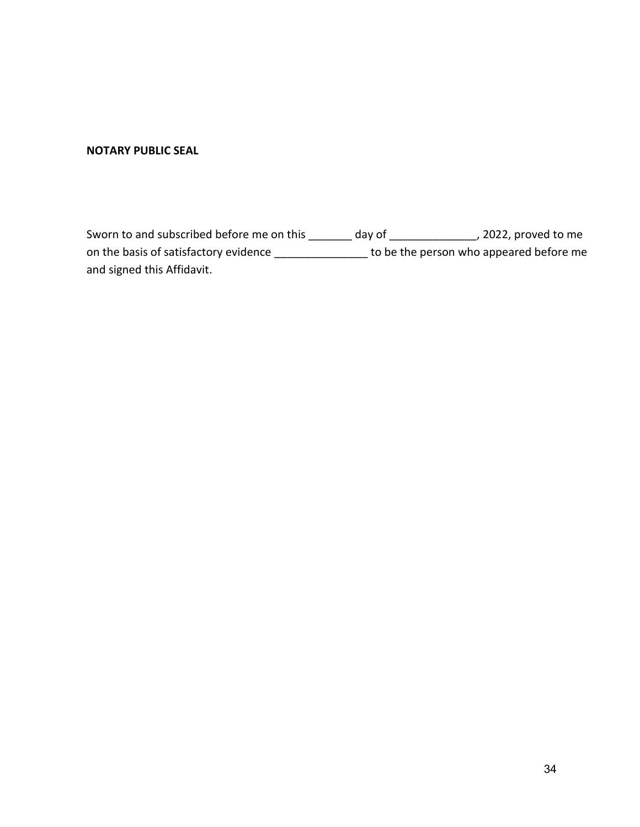#### **NOTARY PUBLIC SEAL**

Sworn to and subscribed before me on this \_\_\_\_\_\_\_ day of \_\_\_\_\_\_\_\_\_\_\_\_\_\_, 2022, proved to me on the basis of satisfactory evidence \_\_\_\_\_\_\_\_\_\_\_\_\_\_\_\_\_ to be the person who appeared before me and signed this Affidavit.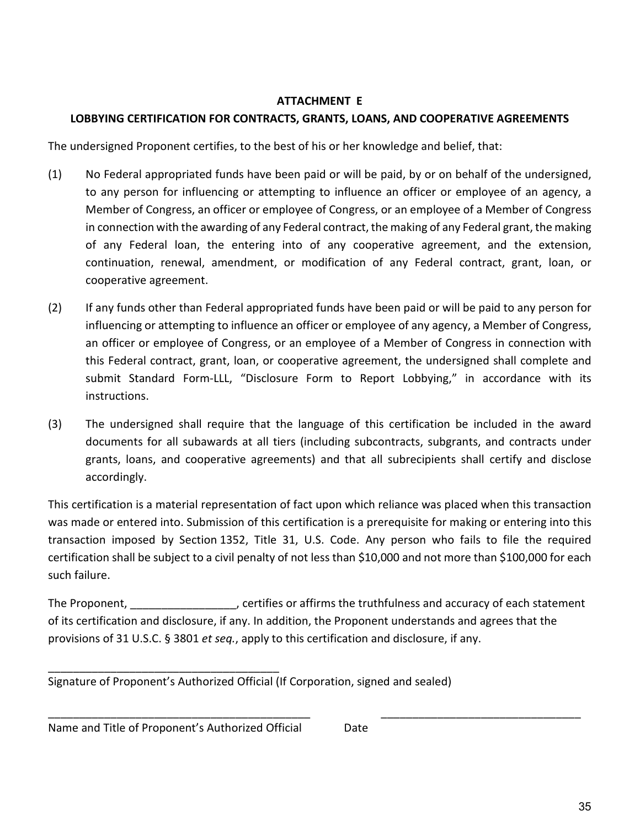# **ATTACHMENT E**

# **LOBBYING CERTIFICATION FOR CONTRACTS, GRANTS, LOANS, AND COOPERATIVE AGREEMENTS**

The undersigned Proponent certifies, to the best of his or her knowledge and belief, that:

- (1) No Federal appropriated funds have been paid or will be paid, by or on behalf of the undersigned, to any person for influencing or attempting to influence an officer or employee of an agency, a Member of Congress, an officer or employee of Congress, or an employee of a Member of Congress in connection with the awarding of any Federal contract, the making of any Federal grant, the making of any Federal loan, the entering into of any cooperative agreement, and the extension, continuation, renewal, amendment, or modification of any Federal contract, grant, loan, or cooperative agreement.
- (2) If any funds other than Federal appropriated funds have been paid or will be paid to any person for influencing or attempting to influence an officer or employee of any agency, a Member of Congress, an officer or employee of Congress, or an employee of a Member of Congress in connection with this Federal contract, grant, loan, or cooperative agreement, the undersigned shall complete and submit Standard Form-LLL, "Disclosure Form to Report Lobbying," in accordance with its instructions.
- (3) The undersigned shall require that the language of this certification be included in the award documents for all subawards at all tiers (including subcontracts, subgrants, and contracts under grants, loans, and cooperative agreements) and that all subrecipients shall certify and disclose accordingly.

This certification is a material representation of fact upon which reliance was placed when this transaction was made or entered into. Submission of this certification is a prerequisite for making or entering into this transaction imposed by Section 1352, Title 31, U.S. Code. Any person who fails to file the required certification shall be subject to a civil penalty of not less than \$10,000 and not more than \$100,000 for each such failure.

The Proponent, The Proponent, Entrities or affirms the truthfulness and accuracy of each statement of its certification and disclosure, if any. In addition, the Proponent understands and agrees that the provisions of 31 U.S.C. § 3801 *et seq.*, apply to this certification and disclosure, if any.

\_\_\_\_\_\_\_\_\_\_\_\_\_\_\_\_\_\_\_\_\_\_\_\_\_\_\_\_\_\_\_\_\_\_\_\_\_\_\_\_\_\_ \_\_\_\_\_\_\_\_\_\_\_\_\_\_\_\_\_\_\_\_\_\_\_\_\_\_\_\_\_\_\_\_

Signature of Proponent's Authorized Official (If Corporation, signed and sealed)

Name and Title of Proponent's Authorized Official Date

\_\_\_\_\_\_\_\_\_\_\_\_\_\_\_\_\_\_\_\_\_\_\_\_\_\_\_\_\_\_\_\_\_\_\_\_\_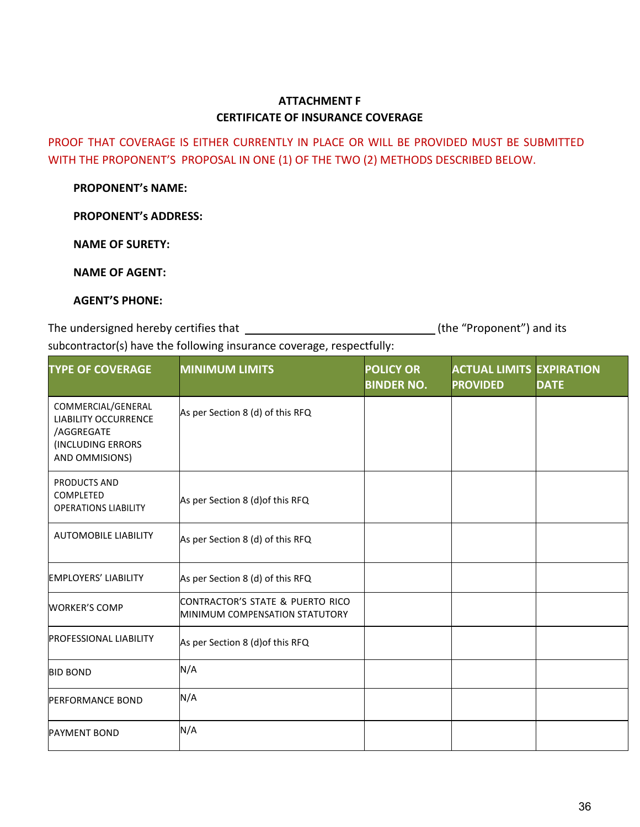# **ATTACHMENT F CERTIFICATE OF INSURANCE COVERAGE**

PROOF THAT COVERAGE IS EITHER CURRENTLY IN PLACE OR WILL BE PROVIDED MUST BE SUBMITTED WITH THE PROPONENT'S PROPOSAL IN ONE (1) OF THE TWO (2) METHODS DESCRIBED BELOW.

**PROPONENT's NAME:**

**PROPONENT's ADDRESS:**

**NAME OF SURETY:**

**NAME OF AGENT:**

#### **AGENT'S PHONE:**

The undersigned hereby certifies that subcontractor(s) have the following insurance coverage, respectfully: (the "Proponent") and its

| <b>TYPE OF COVERAGE</b>                                                                                | <b>MINIMUM LIMITS</b>                                                      | <b>POLICY OR</b><br><b>BINDER NO.</b> | <b>ACTUAL LIMITS EXPIRATION</b><br><b>PROVIDED</b> | <b>DATE</b> |
|--------------------------------------------------------------------------------------------------------|----------------------------------------------------------------------------|---------------------------------------|----------------------------------------------------|-------------|
| COMMERCIAL/GENERAL<br><b>LIABILITY OCCURRENCE</b><br>/AGGREGATE<br>(INCLUDING ERRORS<br>AND OMMISIONS) | As per Section 8 (d) of this RFQ                                           |                                       |                                                    |             |
| <b>PRODUCTS AND</b><br>COMPLETED<br><b>OPERATIONS LIABILITY</b>                                        | As per Section 8 (d) of this RFQ                                           |                                       |                                                    |             |
| <b>AUTOMOBILE LIABILITY</b>                                                                            | As per Section 8 (d) of this RFQ                                           |                                       |                                                    |             |
| <b>EMPLOYERS' LIABILITY</b>                                                                            | As per Section 8 (d) of this RFQ                                           |                                       |                                                    |             |
| <b>WORKER'S COMP</b>                                                                                   | CONTRACTOR'S STATE & PUERTO RICO<br><b>IMINIMUM COMPENSATION STATUTORY</b> |                                       |                                                    |             |
| <b>PROFESSIONAL LIABILITY</b>                                                                          | As per Section 8 (d) of this RFQ                                           |                                       |                                                    |             |
| <b>BID BOND</b>                                                                                        | N/A                                                                        |                                       |                                                    |             |
| <b>PERFORMANCE BOND</b>                                                                                | N/A                                                                        |                                       |                                                    |             |
| <b>PAYMENT BOND</b>                                                                                    | N/A                                                                        |                                       |                                                    |             |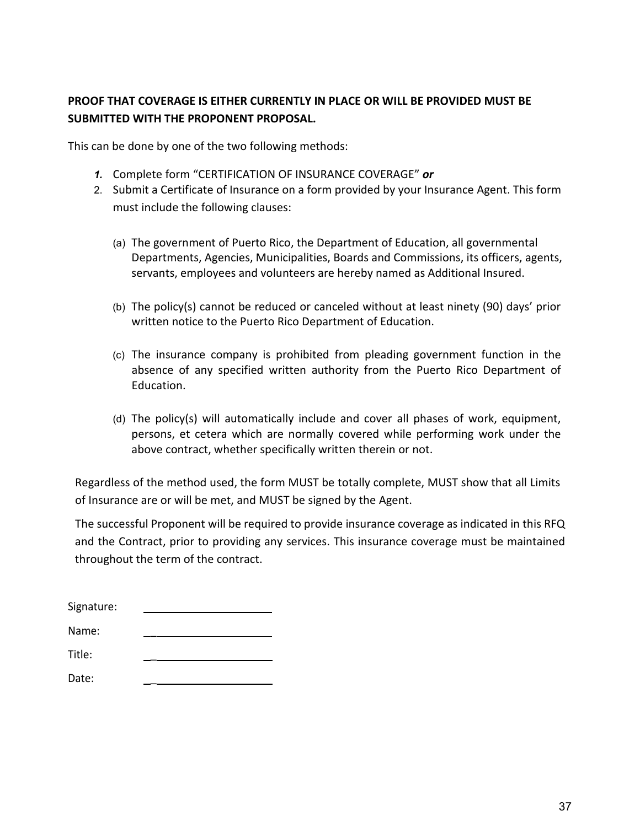# **PROOF THAT COVERAGE IS EITHER CURRENTLY IN PLACE OR WILL BE PROVIDED MUST BE SUBMITTED WITH THE PROPONENT PROPOSAL.**

This can be done by one of the two following methods:

- *1.* Complete form "CERTIFICATION OF INSURANCE COVERAGE" *or*
- 2. Submit a Certificate of Insurance on a form provided by your Insurance Agent. This form must include the following clauses:
	- (a) The government of Puerto Rico, the Department of Education, all governmental Departments, Agencies, Municipalities, Boards and Commissions, its officers, agents, servants, employees and volunteers are hereby named as Additional Insured.
	- (b) The policy(s) cannot be reduced or canceled without at least ninety (90) days' prior written notice to the Puerto Rico Department of Education.
	- (c) The insurance company is prohibited from pleading government function in the absence of any specified written authority from the Puerto Rico Department of Education.
	- (d) The policy(s) will automatically include and cover all phases of work, equipment, persons, et cetera which are normally covered while performing work under the above contract, whether specifically written therein or not.

Regardless of the method used, the form MUST be totally complete, MUST show that all Limits of Insurance are or will be met, and MUST be signed by the Agent.

The successful Proponent will be required to provide insurance coverage as indicated in this RFQ and the Contract, prior to providing any services. This insurance coverage must be maintained throughout the term of the contract.

| Signature: |  |
|------------|--|
| Name:      |  |
| Title:     |  |
| Date:      |  |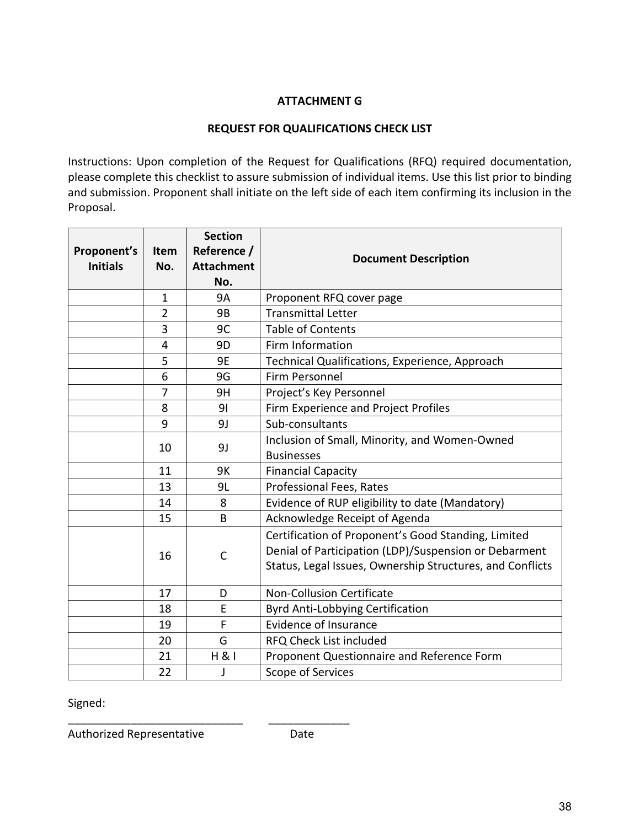# **ATTACHMENT G**

#### **REQUEST FOR QUALIFICATIONS CHECK LIST**

Instructions: Upon completion of the Request for Qualifications (RFQ) required documentation, please complete this checklist to assure submission of individual items. Use this list prior to binding and submission. Proponent shall initiate on the left side of each item confirming its inclusion in the Proposal.

| Proponent's<br><b>Initials</b> | Item<br>No.    | <b>Section</b><br>Reference /<br><b>Attachment</b><br>No. | <b>Document Description</b>                                                                                                                                               |
|--------------------------------|----------------|-----------------------------------------------------------|---------------------------------------------------------------------------------------------------------------------------------------------------------------------------|
|                                | $\mathbf{1}$   | <b>9A</b>                                                 | Proponent RFQ cover page                                                                                                                                                  |
|                                | $\overline{2}$ | 9B                                                        | <b>Transmittal Letter</b>                                                                                                                                                 |
|                                | 3              | 9C                                                        | <b>Table of Contents</b>                                                                                                                                                  |
|                                | 4              | 9D                                                        | Firm Information                                                                                                                                                          |
|                                | 5              | 9E                                                        | Technical Qualifications, Experience, Approach                                                                                                                            |
|                                | 6              | 9G                                                        | Firm Personnel                                                                                                                                                            |
|                                | 7              | 9H                                                        | Project's Key Personnel                                                                                                                                                   |
|                                | 8              | 91                                                        | Firm Experience and Project Profiles                                                                                                                                      |
|                                | 9              | 9J                                                        | Sub-consultants                                                                                                                                                           |
|                                | 10             | 9J                                                        | Inclusion of Small, Minority, and Women-Owned<br><b>Businesses</b>                                                                                                        |
|                                | 11             | 9K                                                        | <b>Financial Capacity</b>                                                                                                                                                 |
|                                | 13             | 9L                                                        | <b>Professional Fees, Rates</b>                                                                                                                                           |
|                                | 14             | 8                                                         | Evidence of RUP eligibility to date (Mandatory)                                                                                                                           |
|                                | 15             | B                                                         | Acknowledge Receipt of Agenda                                                                                                                                             |
|                                | 16             | $\mathsf{C}$                                              | Certification of Proponent's Good Standing, Limited<br>Denial of Participation (LDP)/Suspension or Debarment<br>Status, Legal Issues, Ownership Structures, and Conflicts |
|                                | 17             | D                                                         | <b>Non-Collusion Certificate</b>                                                                                                                                          |
|                                | 18             | E                                                         | <b>Byrd Anti-Lobbying Certification</b>                                                                                                                                   |
|                                | 19             | F                                                         | <b>Evidence of Insurance</b>                                                                                                                                              |
|                                | 20             | G                                                         | RFQ Check List included                                                                                                                                                   |
|                                | 21             | H 81                                                      | Proponent Questionnaire and Reference Form                                                                                                                                |
|                                | 22             | J                                                         | Scope of Services                                                                                                                                                         |

Signed:

Authorized Representative **Date** 

\_\_\_\_\_\_\_\_\_\_\_\_\_\_\_\_\_\_\_\_\_\_\_\_\_\_\_\_ \_\_\_\_\_\_\_\_\_\_\_\_\_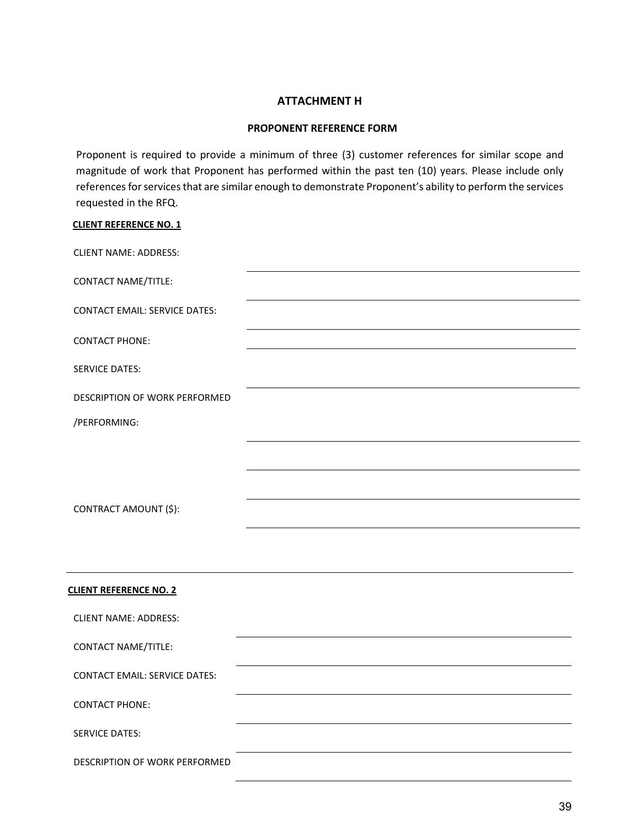#### **ATTACHMENT H**

#### **PROPONENT REFERENCE FORM**

Proponent is required to provide a minimum of three (3) customer references for similar scope and magnitude of work that Proponent has performed within the past ten (10) years. Please include only references for services that are similar enough to demonstrate Proponent's ability to perform the services requested in the RFQ.

| <b>CLIENT REFERENCE NO. 1</b>        |  |
|--------------------------------------|--|
| <b>CLIENT NAME: ADDRESS:</b>         |  |
| <b>CONTACT NAME/TITLE:</b>           |  |
| <b>CONTACT EMAIL: SERVICE DATES:</b> |  |
| <b>CONTACT PHONE:</b>                |  |
| <b>SERVICE DATES:</b>                |  |
| DESCRIPTION OF WORK PERFORMED        |  |
| /PERFORMING:                         |  |
| CONTRACT AMOUNT (\$):                |  |
| <b>CLIENT REFERENCE NO. 2</b>        |  |
| <b>CLIENT NAME: ADDRESS:</b>         |  |
| <b>CONTACT NAME/TITLE:</b>           |  |
| <b>CONTACT EMAIL: SERVICE DATES:</b> |  |
| <b>CONTACT PHONE:</b>                |  |
| <b>SERVICE DATES:</b>                |  |
| DESCRIPTION OF WORK PERFORMED        |  |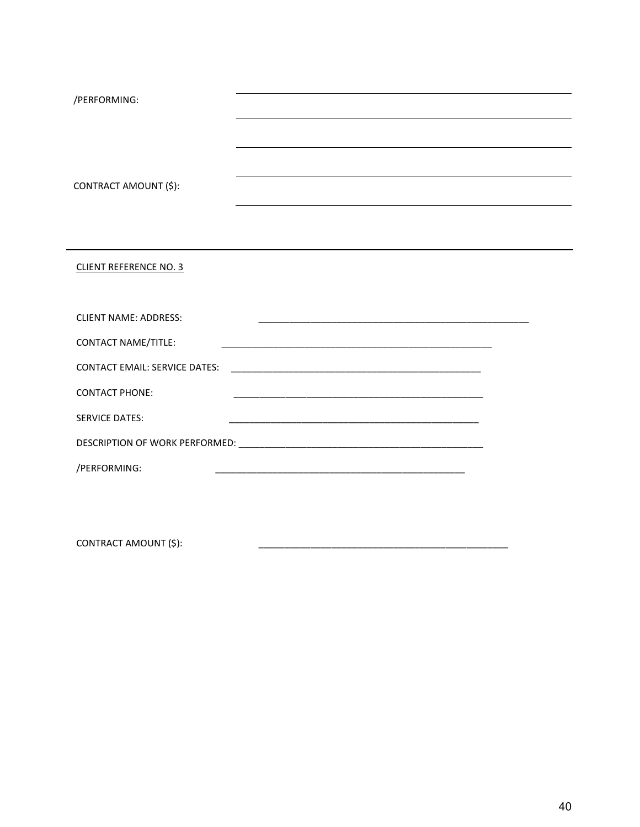| /PERFORMING:                         | and the control of the control of the control of the control of the control of the control of the control of the      |  |
|--------------------------------------|-----------------------------------------------------------------------------------------------------------------------|--|
|                                      | ,我们也不会有什么。""我们的人,我们也不会有什么?""我们的人,我们也不会有什么?""我们的人,我们也不会有什么?""我们的人,我们也不会有什么?""我们的人                                      |  |
|                                      |                                                                                                                       |  |
| CONTRACT AMOUNT (\$):                |                                                                                                                       |  |
|                                      |                                                                                                                       |  |
| <b>CLIENT REFERENCE NO. 3</b>        |                                                                                                                       |  |
|                                      |                                                                                                                       |  |
| <b>CLIENT NAME: ADDRESS:</b>         | <u> 1989 - Johann Stoff, deutscher Stoff, der Stoff, der Stoff, der Stoff, der Stoff, der Stoff, der Stoff, der S</u> |  |
| <b>CONTACT NAME/TITLE:</b>           |                                                                                                                       |  |
| <b>CONTACT EMAIL: SERVICE DATES:</b> |                                                                                                                       |  |
| <b>CONTACT PHONE:</b>                |                                                                                                                       |  |
| <b>SERVICE DATES:</b>                |                                                                                                                       |  |
|                                      |                                                                                                                       |  |
| /PERFORMING:                         |                                                                                                                       |  |
|                                      |                                                                                                                       |  |

CONTRACT AMOUNT (\$):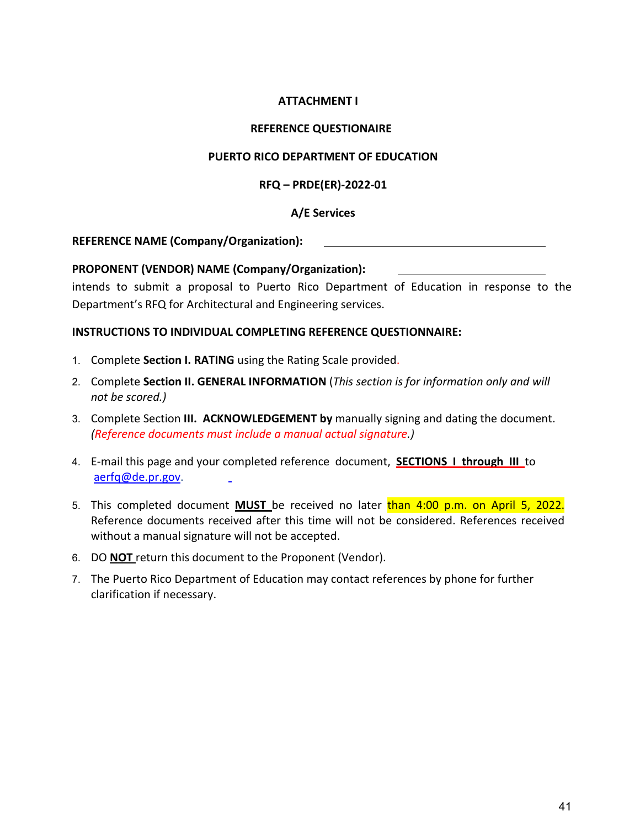### **ATTACHMENT I**

#### **REFERENCE QUESTIONAIRE**

#### **PUERTO RICO DEPARTMENT OF EDUCATION**

#### **RFQ – PRDE(ER)-2022-01**

# **A/E Services**

#### **REFERENCE NAME (Company/Organization):**

# **PROPONENT (VENDOR) NAME (Company/Organization):**

intends to submit a proposal to Puerto Rico Department of Education in response to the Department's RFQ for Architectural and Engineering services.

#### **INSTRUCTIONS TO INDIVIDUAL COMPLETING REFERENCE QUESTIONNAIRE:**

- 1. Complete **Section I. RATING** using the Rating Scale provided.
- 2. Complete **Section II. GENERAL INFORMATION** (*This section is for information only and will not be scored.)*
- 3. Complete Section **III. ACKNOWLEDGEMENT by** manually signing and dating the document. *(Reference documents must include a manual actual signature.)*
- 4. E-mail this page and your completed reference document, **SECTIONS I through III** to [aerfq@de.pr.gov.](mailto:aerfq@de.pr.gov)
- 5. This completed document **MUST** be received no later than 4:00 p.m. on April 5, 2022. Reference documents received after this time will not be considered. References received without a manual signature will not be accepted.
- 6. DO **NOT** return this document to the Proponent (Vendor).
- 7. The Puerto Rico Department of Education may contact references by phone for further clarification if necessary.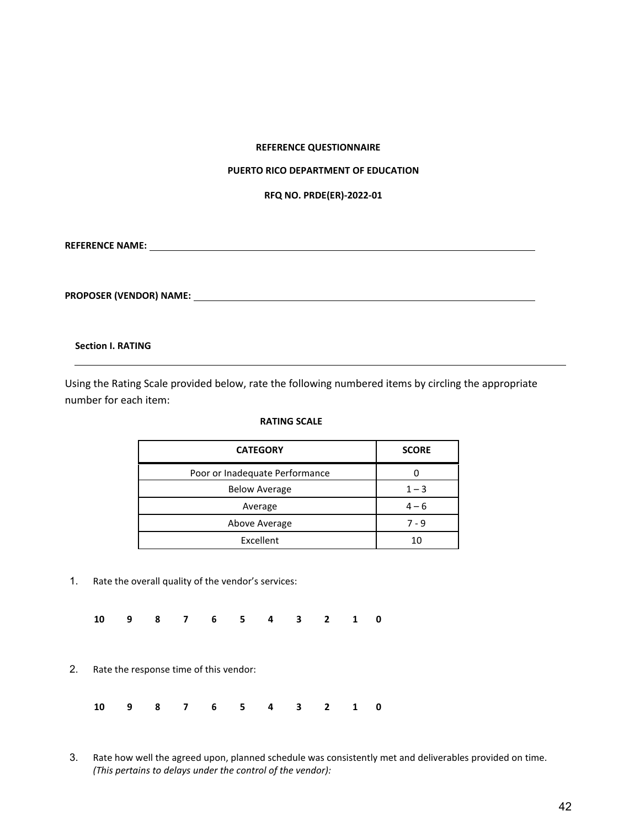#### **REFERENCE QUESTIONNAIRE**

#### **PUERTO RICO DEPARTMENT OF EDUCATION**

**RFQ NO. PRDE(ER)-2022-01**

**REFERENCE NAME:** 

**PROPOSER (VENDOR) NAME:** 

#### **Section I. RATING**

Using the Rating Scale provided below, rate the following numbered items by circling the appropriate number for each item:

#### **RATING SCALE**

| <b>CATEGORY</b>                | <b>SCORE</b> |
|--------------------------------|--------------|
| Poor or Inadequate Performance |              |
| <b>Below Average</b>           | $1 - 3$      |
| Average                        | $4 - 6$      |
| Above Average                  | 7 - 9        |
| Excellent                      | 10           |

- 1. Rate the overall quality of the vendor's services:
	- **10 9 8 7 6 5 4 3 2 1 0**
- 2. Rate the response time of this vendor:

| 10 9 8 7 6 5 4 3 2 1 0 |  |  |  |  |  |  |  |  |  |  |  |
|------------------------|--|--|--|--|--|--|--|--|--|--|--|
|------------------------|--|--|--|--|--|--|--|--|--|--|--|

3. Rate how well the agreed upon, planned schedule was consistently met and deliverables provided on time. *(This pertains to delays under the control of the vendor):*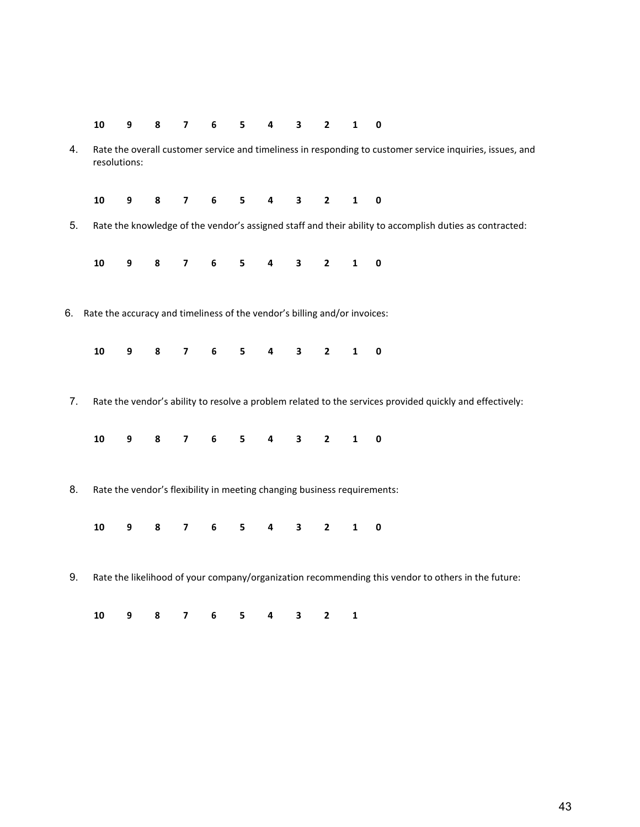| 10 9 8 7 6 5 4 3 2 1 0 |  |  |  |  |  |  |  |  |  |  |  |
|------------------------|--|--|--|--|--|--|--|--|--|--|--|
|------------------------|--|--|--|--|--|--|--|--|--|--|--|

4. Rate the overall customer service and timeliness in responding to customer service inquiries, issues, and resolutions:

| 10 9 8 7 6 5 4 3 2 1 0 |  |  |  |  |  |
|------------------------|--|--|--|--|--|
|                        |  |  |  |  |  |

5. Rate the knowledge of the vendor's assigned staff and their ability to accomplish duties as contracted:

**10 9 8 7 6 5 4 3 2 1 0**

6. Rate the accuracy and timeliness of the vendor's billing and/or invoices:

|  |  |  | 10 9 8 7 6 5 4 3 2 1 0 |  |  |  |  |  |  |  |  |
|--|--|--|------------------------|--|--|--|--|--|--|--|--|
|--|--|--|------------------------|--|--|--|--|--|--|--|--|

7. Rate the vendor's ability to resolve a problem related to the services provided quickly and effectively:

**10 9 8 7 6 5 4 3 2 1 0**

8. Rate the vendor's flexibility in meeting changing business requirements:

**10 9 8 7 6 5 4 3 2 1 0**

9. Rate the likelihood of your company/organization recommending this vendor to others in the future:

| 10 9 8 7 6 5 4 3 2 1 |  |  |  |  |  |
|----------------------|--|--|--|--|--|
|                      |  |  |  |  |  |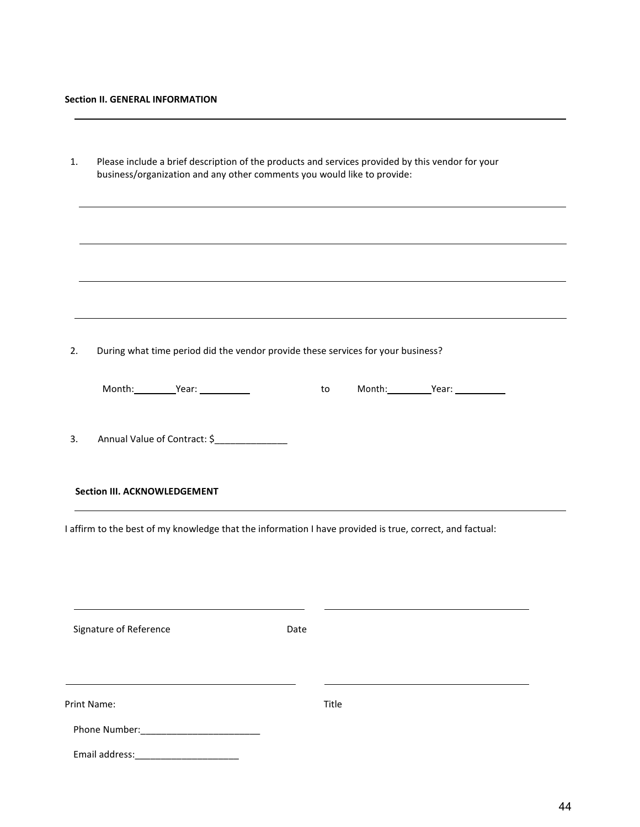| 1. | Please include a brief description of the products and services provided by this vendor for your<br>business/organization and any other comments you would like to provide: |       |                    |  |
|----|-----------------------------------------------------------------------------------------------------------------------------------------------------------------------------|-------|--------------------|--|
|    |                                                                                                                                                                             |       |                    |  |
|    |                                                                                                                                                                             |       |                    |  |
|    |                                                                                                                                                                             |       |                    |  |
| 2. | During what time period did the vendor provide these services for your business?                                                                                            |       |                    |  |
|    | Month:___________Year: ___________                                                                                                                                          | to to | Month: Year: Year: |  |
| 3. | Annual Value of Contract: \$_______________                                                                                                                                 |       |                    |  |
|    | <b>Section III. ACKNOWLEDGEMENT</b>                                                                                                                                         |       |                    |  |
|    | I affirm to the best of my knowledge that the information I have provided is true, correct, and factual:                                                                    |       |                    |  |
|    |                                                                                                                                                                             |       |                    |  |
|    | Signature of Reference                                                                                                                                                      | Date  |                    |  |
|    | Print Name:                                                                                                                                                                 | Title |                    |  |
|    |                                                                                                                                                                             |       |                    |  |
|    | Email address:                                                                                                                                                              |       |                    |  |

,我们也不会有什么。""我们的人,我们也不会有什么?""我们的人,我们也不会有什么?""我们的人,我们也不会有什么?""我们的人,我们也不会有什么?""我们的人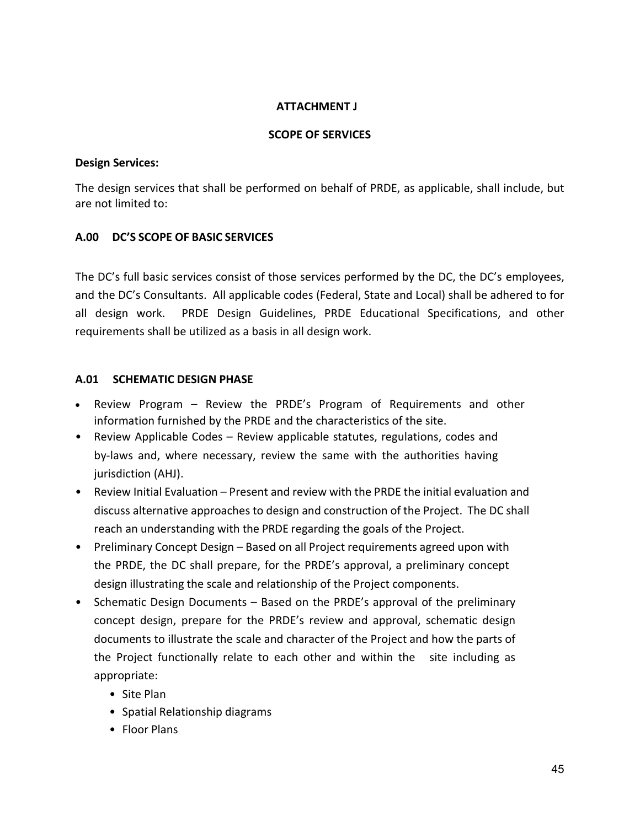#### **ATTACHMENT J**

#### **SCOPE OF SERVICES**

#### **Design Services:**

The design services that shall be performed on behalf of PRDE, as applicable, shall include, but are not limited to:

# **A.00 DC'S SCOPE OF BASIC SERVICES**

The DC's full basic services consist of those services performed by the DC, the DC's employees, and the DC's Consultants. All applicable codes (Federal, State and Local) shall be adhered to for all design work. PRDE Design Guidelines, PRDE Educational Specifications, and other requirements shall be utilized as a basis in all design work.

# **A.01 SCHEMATIC DESIGN PHASE**

- Review Program Review the PRDE's Program of Requirements and other information furnished by the PRDE and the characteristics of the site.
- Review Applicable Codes Review applicable statutes, regulations, codes and by-laws and, where necessary, review the same with the authorities having jurisdiction (AHJ).
- Review Initial Evaluation Present and review with the PRDE the initial evaluation and discuss alternative approaches to design and construction of the Project. The DC shall reach an understanding with the PRDE regarding the goals of the Project.
- Preliminary Concept Design Based on all Project requirements agreed upon with the PRDE, the DC shall prepare, for the PRDE's approval, a preliminary concept design illustrating the scale and relationship of the Project components.
- Schematic Design Documents Based on the PRDE's approval of the preliminary concept design, prepare for the PRDE's review and approval, schematic design documents to illustrate the scale and character of the Project and how the parts of the Project functionally relate to each other and within the site including as appropriate:
	- Site Plan
	- Spatial Relationship diagrams
	- Floor Plans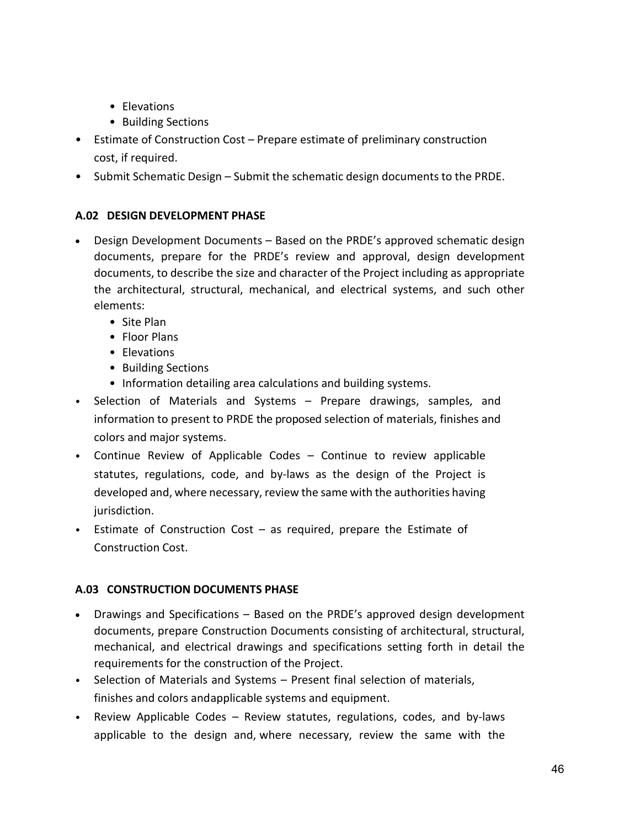- Elevations
- Building Sections
- Estimate of Construction Cost Prepare estimate of preliminary construction cost, if required.
- Submit Schematic Design Submit the schematic design documents to the PRDE.

# **A.02 DESIGN DEVELOPMENT PHASE**

- Design Development Documents Based on the PRDE's approved schematic design documents, prepare for the PRDE's review and approval, design development documents, to describe the size and character of the Project including as appropriate the architectural, structural, mechanical, and electrical systems, and such other elements:
	- Site Plan
	- Floor Plans
	- Elevations
	- Building Sections
	- Information detailing area calculations and building systems.
- Selection of Materials and Systems Prepare drawings, samples, and information to present to PRDE the proposed selection of materials, finishes and colors and major systems.
- Continue Review of Applicable Codes Continue to review applicable statutes, regulations, code, and by-laws as the design of the Project is developed and, where necessary, review the same with the authorities having jurisdiction.
- Estimate of Construction Cost as required, prepare the Estimate of Construction Cost.

# **A.03 CONSTRUCTION DOCUMENTS PHASE**

- Drawings and Specifications Based on the PRDE's approved design development documents, prepare Construction Documents consisting of architectural, structural, mechanical, and electrical drawings and specifications setting forth in detail the requirements for the construction of the Project.
- Selection of Materials and Systems Present final selection of materials, finishes and colors andapplicable systems and equipment.
- Review Applicable Codes Review statutes, regulations, codes, and by-laws applicable to the design and, where necessary, review the same with the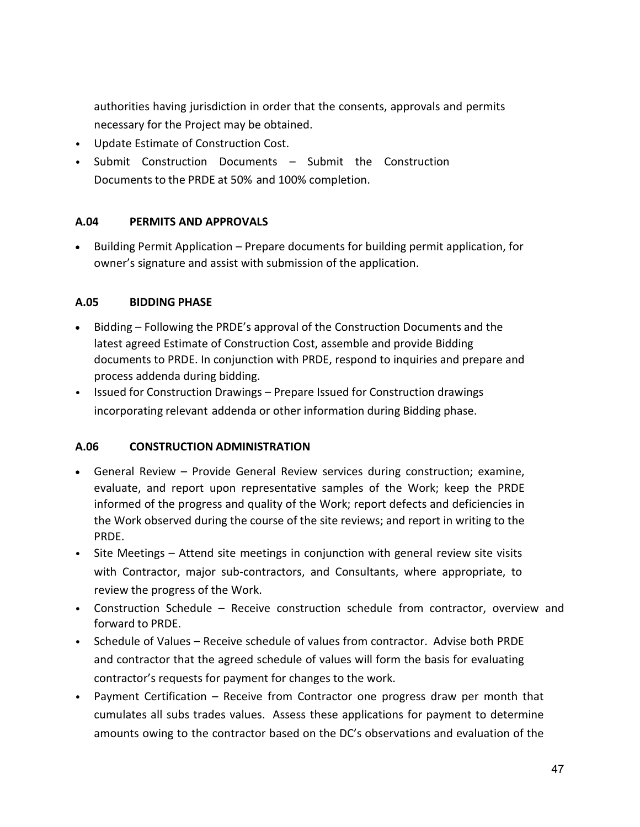authorities having jurisdiction in order that the consents, approvals and permits necessary for the Project may be obtained.

- Update Estimate of Construction Cost.
- Submit Construction Documents Submit the Construction Documents to the PRDE at 50% and 100% completion.

# **A.04 PERMITS AND APPROVALS**

• Building Permit Application – Prepare documents for building permit application, for owner's signature and assist with submission of the application.

# **A.05 BIDDING PHASE**

- Bidding Following the PRDE's approval of the Construction Documents and the latest agreed Estimate of Construction Cost, assemble and provide Bidding documents to PRDE. In conjunction with PRDE, respond to inquiries and prepare and process addenda during bidding.
- Issued for Construction Drawings Prepare Issued for Construction drawings incorporating relevant addenda or other information during Bidding phase.

# **A.06 CONSTRUCTION ADMINISTRATION**

- General Review Provide General Review services during construction; examine, evaluate, and report upon representative samples of the Work; keep the PRDE informed of the progress and quality of the Work; report defects and deficiencies in the Work observed during the course of the site reviews; and report in writing to the PRDE.
- Site Meetings Attend site meetings in conjunction with general review site visits with Contractor, major sub-contractors, and Consultants, where appropriate, to review the progress of the Work.
- Construction Schedule Receive construction schedule from contractor, overview and forward to PRDE.
- Schedule of Values Receive schedule of values from contractor. Advise both PRDE and contractor that the agreed schedule of values will form the basis for evaluating contractor's requests for payment for changes to the work.
- Payment Certification Receive from Contractor one progress draw per month that cumulates all subs trades values. Assess these applications for payment to determine amounts owing to the contractor based on the DC's observations and evaluation of the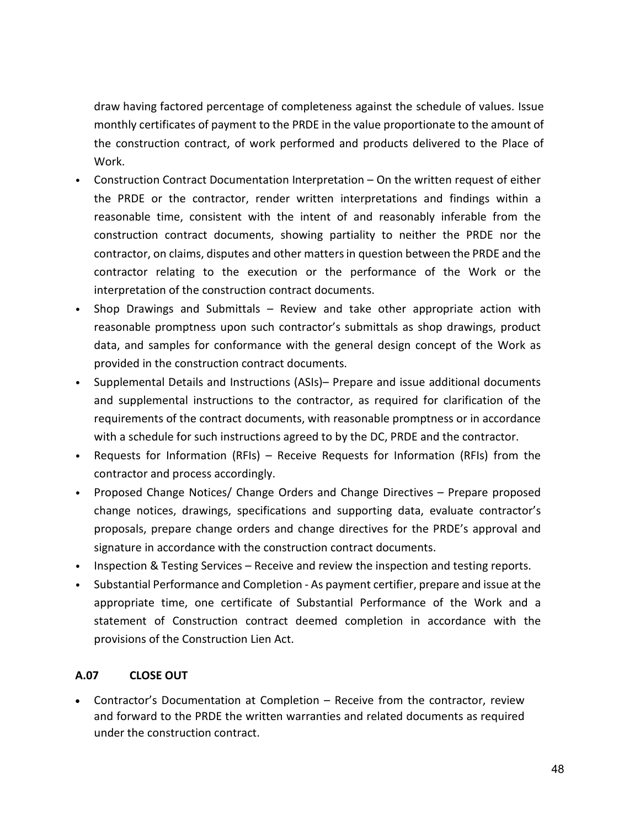draw having factored percentage of completeness against the schedule of values. Issue monthly certificates of payment to the PRDE in the value proportionate to the amount of the construction contract, of work performed and products delivered to the Place of Work.

- Construction Contract Documentation Interpretation On the written request of either the PRDE or the contractor, render written interpretations and findings within a reasonable time, consistent with the intent of and reasonably inferable from the construction contract documents, showing partiality to neither the PRDE nor the contractor, on claims, disputes and other matters in question between the PRDE and the contractor relating to the execution or the performance of the Work or the interpretation of the construction contract documents.
- Shop Drawings and Submittals Review and take other appropriate action with reasonable promptness upon such contractor's submittals as shop drawings, product data, and samples for conformance with the general design concept of the Work as provided in the construction contract documents.
- Supplemental Details and Instructions (ASIs)– Prepare and issue additional documents and supplemental instructions to the contractor, as required for clarification of the requirements of the contract documents, with reasonable promptness or in accordance with a schedule for such instructions agreed to by the DC, PRDE and the contractor.
- Requests for Information (RFIs) Receive Requests for Information (RFIs) from the contractor and process accordingly.
- Proposed Change Notices/ Change Orders and Change Directives Prepare proposed change notices, drawings, specifications and supporting data, evaluate contractor's proposals, prepare change orders and change directives for the PRDE's approval and signature in accordance with the construction contract documents.
- Inspection & Testing Services Receive and review the inspection and testing reports.
- Substantial Performance and Completion As payment certifier, prepare and issue at the appropriate time, one certificate of Substantial Performance of the Work and a statement of Construction contract deemed completion in accordance with the provisions of the Construction Lien Act.

# **A.07 CLOSE OUT**

• Contractor's Documentation at Completion – Receive from the contractor, review and forward to the PRDE the written warranties and related documents as required under the construction contract.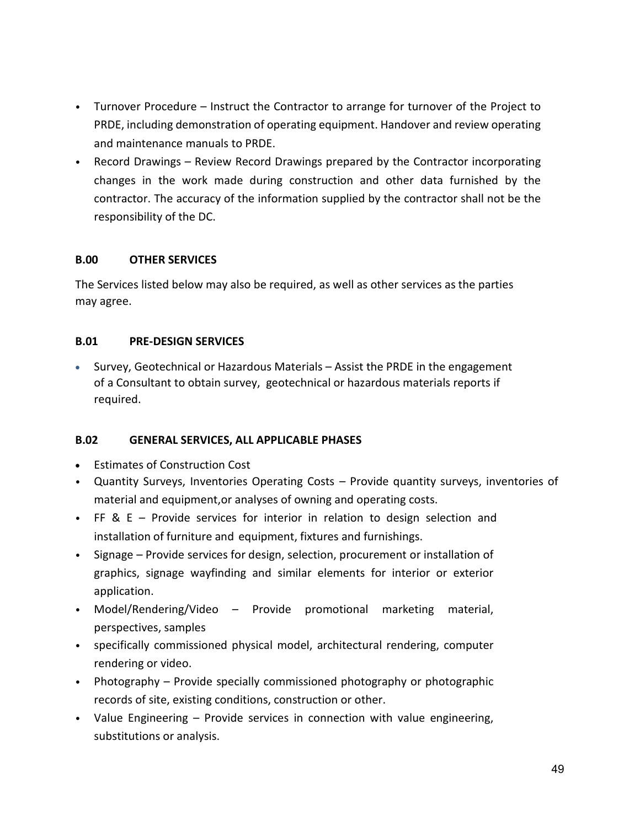- Turnover Procedure Instruct the Contractor to arrange for turnover of the Project to PRDE, including demonstration of operating equipment. Handover and review operating and maintenance manuals to PRDE.
- Record Drawings Review Record Drawings prepared by the Contractor incorporating changes in the work made during construction and other data furnished by the contractor. The accuracy of the information supplied by the contractor shall not be the responsibility of the DC.

#### **B.00 OTHER SERVICES**

The Services listed below may also be required, as well as other services as the parties may agree.

#### **B.01 PRE-DESIGN SERVICES**

• Survey, Geotechnical or Hazardous Materials – Assist the PRDE in the engagement of a Consultant to obtain survey, geotechnical or hazardous materials reports if required.

# **B.02 GENERAL SERVICES, ALL APPLICABLE PHASES**

- Estimates of Construction Cost
- Quantity Surveys, Inventories Operating Costs Provide quantity surveys, inventories of material and equipment,or analyses of owning and operating costs.
- FF & E Provide services for interior in relation to design selection and installation of furniture and equipment, fixtures and furnishings.
- Signage Provide services for design, selection, procurement or installation of graphics, signage wayfinding and similar elements for interior or exterior application.
- Model/Rendering/Video Provide promotional marketing material, perspectives, samples
- specifically commissioned physical model, architectural rendering, computer rendering or video.
- Photography Provide specially commissioned photography or photographic records of site, existing conditions, construction or other.
- Value Engineering Provide services in connection with value engineering, substitutions or analysis.